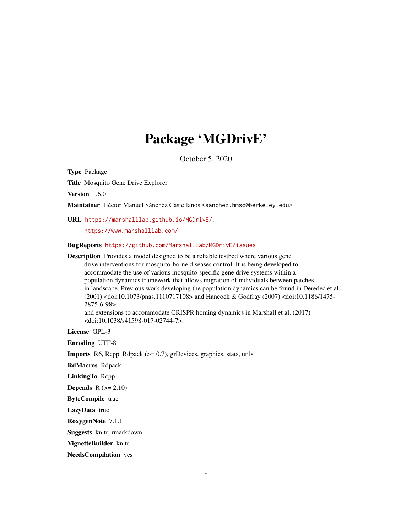# Package 'MGDrivE'

October 5, 2020

<span id="page-0-0"></span>Type Package

Title Mosquito Gene Drive Explorer

Version 1.6.0

Maintainer Héctor Manuel Sánchez Castellanos <sanchez.hmsc@berkeley.edu>

URL <https://marshalllab.github.io/MGDrivE/>,

<https://www.marshalllab.com/>

<doi:10.1038/s41598-017-02744-7>.

BugReports <https://github.com/MarshallLab/MGDrivE/issues>

Description Provides a model designed to be a reliable testbed where various gene drive interventions for mosquito-borne diseases control. It is being developed to accommodate the use of various mosquito-specific gene drive systems within a population dynamics framework that allows migration of individuals between patches in landscape. Previous work developing the population dynamics can be found in Deredec et al. (2001) <doi:10.1073/pnas.1110717108> and Hancock & Godfray (2007) <doi:10.1186/1475- 2875-6-98>, and extensions to accommodate CRISPR homing dynamics in Marshall et al. (2017)

License GPL-3

Encoding UTF-8

**Imports** R6, Rcpp, Rdpack  $(>= 0.7)$ , grDevices, graphics, stats, utils

RdMacros Rdpack

LinkingTo Rcpp

Depends  $R (= 2.10)$ 

ByteCompile true

LazyData true

RoxygenNote 7.1.1

Suggests knitr, rmarkdown

VignetteBuilder knitr

NeedsCompilation yes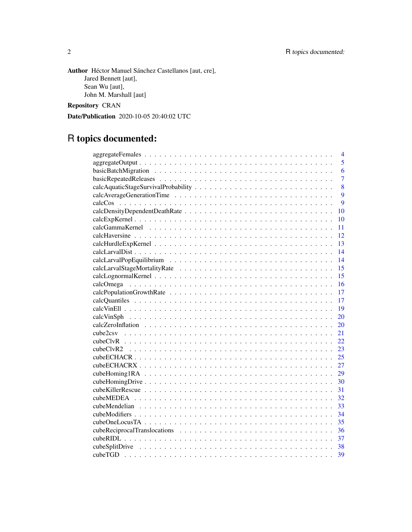Author Héctor Manuel Sánchez Castellanos [aut, cre], Jared Bennett [aut], Sean Wu [aut], John M. Marshall [aut]

Repository CRAN

Date/Publication 2020-10-05 20:40:02 UTC

# R topics documented:

| 4              |
|----------------|
| 5              |
| 6              |
| $\overline{7}$ |
| 8              |
| 9              |
| 9              |
| 10             |
| 10             |
| 11             |
| 12             |
| 13             |
| 14             |
| 14             |
| 15             |
| 15             |
| 16             |
| 17             |
| 17             |
| 19             |
| 20             |
| 20             |
| 21             |
| 22             |
| 23             |
| 25             |
| 27             |
| 29             |
| 30             |
| 31             |
| 32             |
| 33             |
| 34             |
| 35             |
| 36             |
| -37            |
| 38             |
| 39             |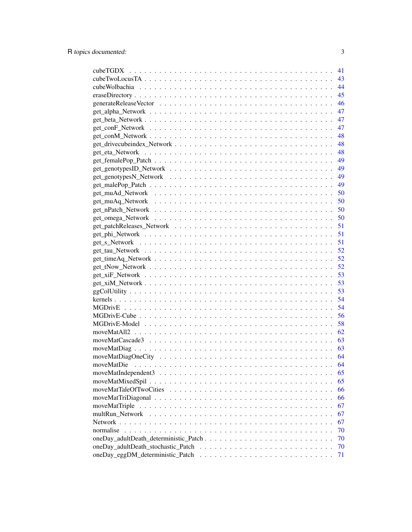|                 | 41 |
|-----------------|----|
|                 | 43 |
|                 | 44 |
|                 | 45 |
|                 | 46 |
|                 | 47 |
|                 | 47 |
|                 | 47 |
|                 | 48 |
|                 | 48 |
|                 | 48 |
|                 | 49 |
|                 | 49 |
|                 | 49 |
|                 | 49 |
|                 | 50 |
|                 | 50 |
|                 | 50 |
|                 | 50 |
|                 | 51 |
|                 | 51 |
|                 | 51 |
|                 | 52 |
|                 | 52 |
|                 | 52 |
|                 | 53 |
|                 | 53 |
|                 | 53 |
|                 | 54 |
|                 | 54 |
|                 | 56 |
|                 | 58 |
|                 | 62 |
|                 | 63 |
|                 | 63 |
|                 | 64 |
|                 | 64 |
|                 | 65 |
|                 | 65 |
|                 | 66 |
|                 | 66 |
| moveMatTriple   | 67 |
| multRun_Network | 67 |
|                 | 67 |
| normalise       | 70 |
|                 | 70 |
|                 | 70 |
|                 | 71 |
|                 |    |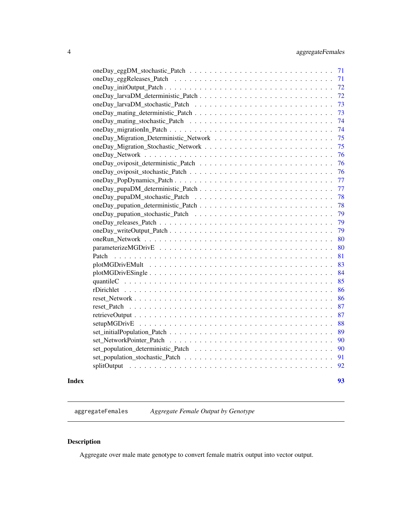<span id="page-3-0"></span>

| Index |       | 93 |
|-------|-------|----|
|       |       | 92 |
|       |       | 91 |
|       |       | 90 |
|       |       | 90 |
|       |       | 89 |
|       |       | 88 |
|       |       | 87 |
|       |       | 87 |
|       |       | 86 |
|       |       | 86 |
|       |       | 85 |
|       |       | 84 |
|       |       | 83 |
|       | Patch | 81 |
|       |       | 80 |
|       |       | 80 |
|       |       | 79 |
|       |       | 79 |
|       |       | 79 |
|       |       | 78 |
|       |       | 78 |
|       |       | 77 |
|       |       | 77 |
|       |       | 76 |
|       |       | 76 |
|       |       | 76 |
|       |       | 75 |
|       |       | 75 |
|       |       | 74 |
|       |       | 74 |
|       |       | 73 |
|       |       | 73 |
|       |       | 72 |
|       |       | 72 |
|       |       | 71 |
|       |       | 71 |

aggregateFemales *Aggregate Female Output by Genotype*

# Description

Aggregate over male mate genotype to convert female matrix output into vector output.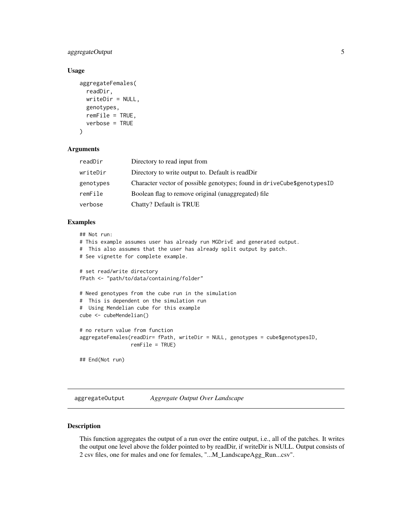# <span id="page-4-0"></span>aggregateOutput 5

# Usage

```
aggregateFemales(
 readDir,
 writeDir = NULL,
 genotypes,
 remFile = TRUE,
  verbose = TRUE
)
```
#### **Arguments**

| readDir   | Directory to read input from                                                |
|-----------|-----------------------------------------------------------------------------|
| writeDir  | Directory to write output to. Default is readDir                            |
| genotypes | Character vector of possible genotypes; found in drive Cube \$ genotypes ID |
| remFile   | Boolean flag to remove original (unaggregated) file                         |
| verbose   | Chatty? Default is TRUE                                                     |

# Examples

```
## Not run:
# This example assumes user has already run MGDrivE and generated output.
# This also assumes that the user has already split output by patch.
# See vignette for complete example.
# set read/write directory
fPath <- "path/to/data/containing/folder"
# Need genotypes from the cube run in the simulation
# This is dependent on the simulation run
# Using Mendelian cube for this example
cube <- cubeMendelian()
# no return value from function
aggregateFemales(readDir= fPath, writeDir = NULL, genotypes = cube$genotypesID,
                 remFile = TRUE)
## End(Not run)
```
aggregateOutput *Aggregate Output Over Landscape*

### Description

This function aggregates the output of a run over the entire output, i.e., all of the patches. It writes the output one level above the folder pointed to by readDir, if writeDir is NULL. Output consists of 2 csv files, one for males and one for females, "...M\_LandscapeAgg\_Run...csv".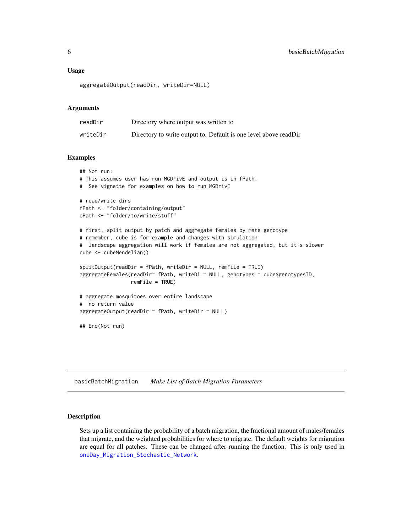#### <span id="page-5-0"></span>Usage

aggregateOutput(readDir, writeDir=NULL)

#### Arguments

| readDir  | Directory where output was written to                            |
|----------|------------------------------------------------------------------|
| writeDir | Directory to write output to. Default is one level above readDir |

# Examples

```
## Not run:
# This assumes user has run MGDrivE and output is in fPath.
# See vignette for examples on how to run MGDrivE
# read/write dirs
fPath <- "folder/containing/output"
oPath <- "folder/to/write/stuff"
# first, split output by patch and aggregate females by mate genotype
# remember, cube is for example and changes with simulation
# landscape aggregation will work if females are not aggregated, but it's slower
cube <- cubeMendelian()
splitOutput(readDir = fPath, writeDir = NULL, remFile = TRUE)
aggregateFemales(readDir= fPath, writeDi = NULL, genotypes = cube$genotypesID,
                 remFile = TRUE)
# aggregate mosquitoes over entire landscape
# no return value
aggregateOutput(readDir = fPath, writeDir = NULL)
## End(Not run)
```
basicBatchMigration *Make List of Batch Migration Parameters*

#### Description

Sets up a list containing the probability of a batch migration, the fractional amount of males/females that migrate, and the weighted probabilities for where to migrate. The default weights for migration are equal for all patches. These can be changed after running the function. This is only used in [oneDay\\_Migration\\_Stochastic\\_Network](#page-74-1).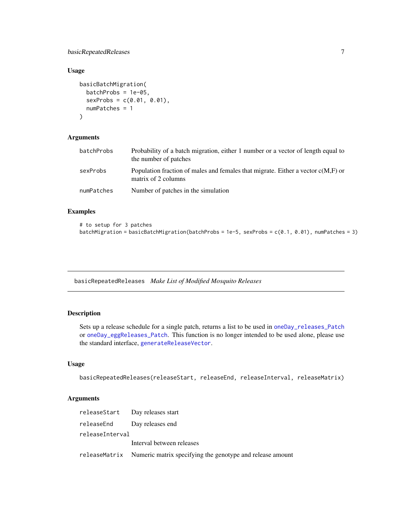# <span id="page-6-0"></span>basicRepeatedReleases 7

#### Usage

```
basicBatchMigration(
 batchProbs = 1e-05,
  sexProbs = c(0.01, 0.01),
  numPatches = 1
)
```
# Arguments

| batchProbs | Probability of a batch migration, either 1 number or a vector of length equal to<br>the number of patches |
|------------|-----------------------------------------------------------------------------------------------------------|
| sexProbs   | Population fraction of males and females that migrate. Either a vector $c(M,F)$ or<br>matrix of 2 columns |
| numPatches | Number of patches in the simulation                                                                       |

# Examples

```
# to setup for 3 patches
batchMigration = basicBatchMigration(batchProbs = 1e-5, sexProbs = c(0.1, 0.01), numPatches = 3)
```
basicRepeatedReleases *Make List of Modified Mosquito Releases*

# Description

Sets up a release schedule for a single patch, returns a list to be used in [oneDay\\_releases\\_Patch](#page-78-1) or [oneDay\\_eggReleases\\_Patch](#page-70-1). This function is no longer intended to be used alone, please use the standard interface, [generateReleaseVector](#page-45-1).

#### Usage

```
basicRepeatedReleases(releaseStart, releaseEnd, releaseInterval, releaseMatrix)
```

|                 | releaseStart Day releases start                                         |
|-----------------|-------------------------------------------------------------------------|
|                 | releaseEnd Day releases end                                             |
| releaseInterval |                                                                         |
|                 | Interval between releases                                               |
|                 | releaseMatrix Numeric matrix specifying the genotype and release amount |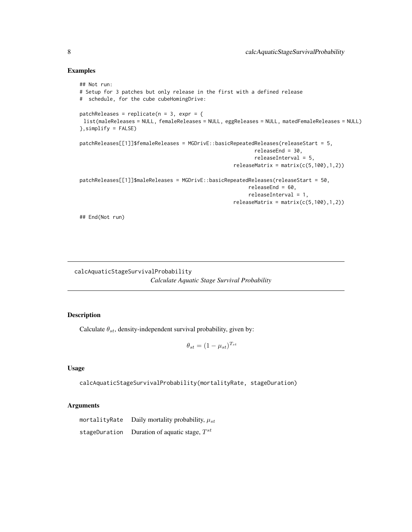#### Examples

```
## Not run:
# Setup for 3 patches but only release in the first with a defined release
# schedule, for the cube cubeHomingDrive:
patchReleases = replicate(n = 3, expr = {
list(maleReleases = NULL, femaleReleases = NULL, eggReleases = NULL, matedFemaleReleases = NULL)
},simplify = FALSE)
patchReleases[[1]]$femaleReleases = MGDrivE::basicRepeatedReleases(releaseStart = 5,
                                                          releaseEnd = 30,
                                                          releaseInterval = 5,
                                                   releaseMatrix = matrix(c(5,100),1,2))patchReleases[[1]]$maleReleases = MGDrivE::basicRepeatedReleases(releaseStart = 50,
                                                        releaseEnd = 60,
                                                        releaseInterval = 1,
                                                   releaseMatrix = matrix(c(5,100),1,2))
```
## End(Not run)

calcAquaticStageSurvivalProbability *Calculate Aquatic Stage Survival Probability*

# Description

Calculate  $\theta_{st}$ , density-independent survival probability, given by:

$$
\theta_{st} = (1 - \mu_{st})^{T_{st}}
$$

#### Usage

calcAquaticStageSurvivalProbability(mortalityRate, stageDuration)

#### Arguments

mortalityRate Daily mortality probability,  $\mu_{st}$ stageDuration Duration of aquatic stage,  $T^{st}$ 

<span id="page-7-0"></span>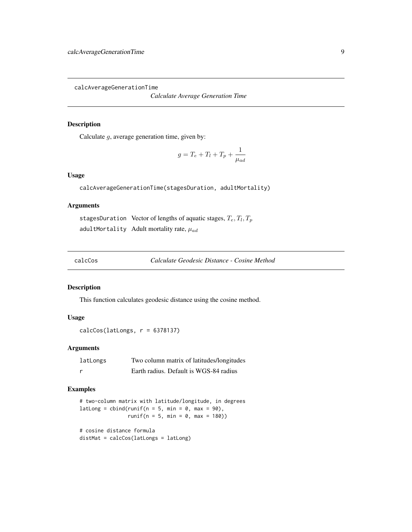<span id="page-8-1"></span><span id="page-8-0"></span>calcAverageGenerationTime

*Calculate Average Generation Time*

#### Description

Calculate  $g$ , average generation time, given by:

$$
g = T_e + T_l + T_p + \frac{1}{\mu_{ad}}
$$

# Usage

calcAverageGenerationTime(stagesDuration, adultMortality)

# Arguments

stagesDuration Vector of lengths of aquatic stages,  $T_e, T_l, T_p$ adultMortality Adult mortality rate,  $\mu_{ad}$ 

calcCos *Calculate Geodesic Distance - Cosine Method*

#### Description

This function calculates geodesic distance using the cosine method.

# Usage

 $calcCos(latLongs, r = 6378137)$ 

# Arguments

| latLongs | Two column matrix of latitudes/longitudes |
|----------|-------------------------------------------|
| <u>r</u> | Earth radius. Default is WGS-84 radius    |

# Examples

```
# two-column matrix with latitude/longitude, in degrees
latLong = cbind(runif(n = 5, min = 0, max = 90),
               runif(n = 5, min = 0, max = 180)# cosine distance formula
distMat = calcCos(latLongs = latLong)
```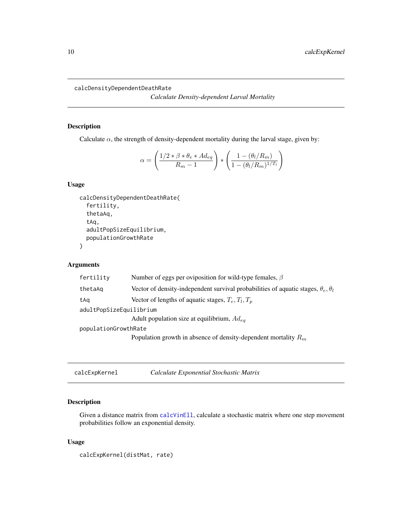<span id="page-9-1"></span><span id="page-9-0"></span>calcDensityDependentDeathRate

*Calculate Density-dependent Larval Mortality*

# Description

Calculate  $\alpha$ , the strength of density-dependent mortality during the larval stage, given by:

$$
\alpha = \left(\frac{1/2 \times \beta \times \theta_e \times Ad_{eq}}{R_m - 1}\right) \times \left(\frac{1 - (\theta_l/R_m)}{1 - (\theta_l/R_m)^{1/T_l}}\right)
$$

# Usage

```
calcDensityDependentDeathRate(
  fertility,
  thetaAq,
  tAq,
  adultPopSizeEquilibrium,
  populationGrowthRate
)
```
# Arguments

| fertility               | Number of eggs per oviposition for wild-type females, $\beta$                                   |
|-------------------------|-------------------------------------------------------------------------------------------------|
| thetaAq                 | Vector of density-independent survival probabilities of aquatic stages, $\theta_e$ , $\theta_l$ |
| tAq                     | Vector of lengths of aquatic stages, $T_e, T_l, T_p$                                            |
| adultPopSizeEquilibrium |                                                                                                 |
|                         | Adult population size at equilibrium, $Ad_{ea}$                                                 |
| populationGrowthRate    |                                                                                                 |
|                         | Population growth in absence of density-dependent mortality $R_m$                               |
|                         |                                                                                                 |

calcExpKernel *Calculate Exponential Stochastic Matrix*

# Description

Given a distance matrix from [calcVinEll](#page-18-1), calculate a stochastic matrix where one step movement probabilities follow an exponential density.

#### Usage

```
calcExpKernel(distMat, rate)
```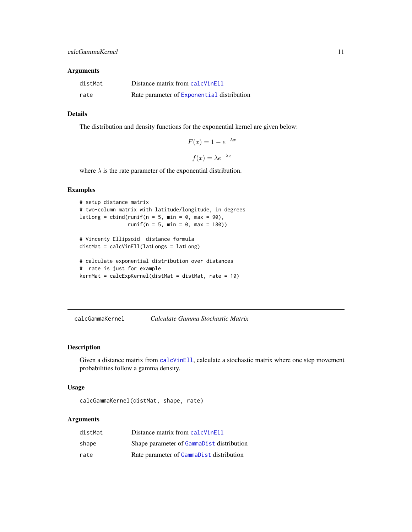#### <span id="page-10-0"></span>Arguments

| distMat | Distance matrix from calc Vinell           |
|---------|--------------------------------------------|
| rate    | Rate parameter of Exponential distribution |

#### Details

The distribution and density functions for the exponential kernel are given below:

$$
F(x) = 1 - e^{-\lambda x}
$$

$$
f(x) = \lambda e^{-\lambda x}
$$

where  $\lambda$  is the rate parameter of the exponential distribution.

#### Examples

```
# setup distance matrix
# two-column matrix with latitude/longitude, in degrees
latLong = cbind(runif(n = 5, min = 0, max = 90),
               runif(n = 5, min = 0, max = 180)# Vincenty Ellipsoid distance formula
distMat = calcVinEll(latLongs = latLong)
# calculate exponential distribution over distances
# rate is just for example
kernMat = calcExpKernel(distMat = distMat, rate = 10)
```
calcGammaKernel *Calculate Gamma Stochastic Matrix*

# Description

Given a distance matrix from [calcVinEll](#page-18-1), calculate a stochastic matrix where one step movement probabilities follow a gamma density.

# Usage

```
calcGammaKernel(distMat, shape, rate)
```

| distMat | Distance matrix from calc VinEll          |
|---------|-------------------------------------------|
| shape   | Shape parameter of GammaDist distribution |
| rate    | Rate parameter of GammaDist distribution  |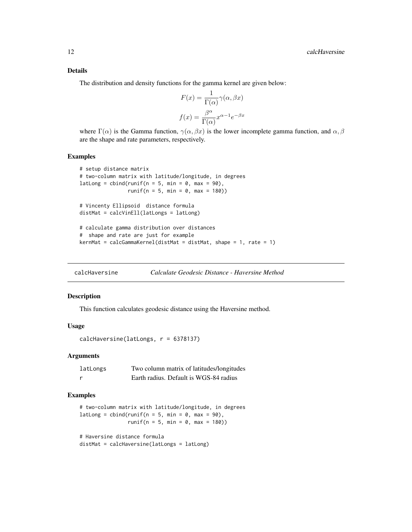#### <span id="page-11-0"></span>Details

The distribution and density functions for the gamma kernel are given below:

$$
F(x) = \frac{1}{\Gamma(\alpha)} \gamma(\alpha, \beta x)
$$

$$
f(x) = \frac{\beta^{\alpha}}{\Gamma(\alpha)} x^{\alpha - 1} e^{-\beta x}
$$

where  $\Gamma(\alpha)$  is the Gamma function,  $\gamma(\alpha, \beta x)$  is the lower incomplete gamma function, and  $\alpha, \beta$ are the shape and rate parameters, respectively.

#### Examples

```
# setup distance matrix
# two-column matrix with latitude/longitude, in degrees
latLong = cbind(runif(n = 5, min = 0, max = 90),
               runif(n = 5, min = 0, max = 180)# Vincenty Ellipsoid distance formula
distMat = calcVinEll(latLongs = latLong)
# calculate gamma distribution over distances
# shape and rate are just for example
kernMat = calcGamma(distMat = distMat, shape = 1, rate = 1)
```
calcHaversine *Calculate Geodesic Distance - Haversine Method*

#### Description

This function calculates geodesic distance using the Haversine method.

#### Usage

```
calcHaversine(latLongs, r = 6378137)
```
#### Arguments

| latLongs | Two column matrix of latitudes/longitudes |
|----------|-------------------------------------------|
|          | Earth radius. Default is WGS-84 radius    |

#### Examples

# two-column matrix with latitude/longitude, in degrees latLong = cbind(runif(n = 5, min =  $0$ , max =  $90$ ),  $runif(n = 5, min = 0, max = 180)$ 

```
# Haversine distance formula
distMat = calcHaversine(latLongs = latLong)
```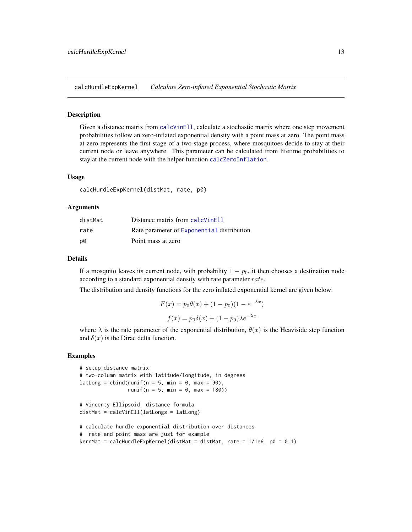<span id="page-12-0"></span>calcHurdleExpKernel *Calculate Zero-inflated Exponential Stochastic Matrix*

#### Description

Given a distance matrix from [calcVinEll](#page-18-1), calculate a stochastic matrix where one step movement probabilities follow an zero-inflated exponential density with a point mass at zero. The point mass at zero represents the first stage of a two-stage process, where mosquitoes decide to stay at their current node or leave anywhere. This parameter can be calculated from lifetime probabilities to stay at the current node with the helper function [calcZeroInflation](#page-19-1).

#### Usage

calcHurdleExpKernel(distMat, rate, p0)

#### Arguments

| distMat | Distance matrix from calc Vinell           |
|---------|--------------------------------------------|
| rate    | Rate parameter of Exponential distribution |
| D0      | Point mass at zero                         |

#### Details

If a mosquito leaves its current node, with probability  $1 - p_0$ , it then chooses a destination node according to a standard exponential density with rate parameter rate.

The distribution and density functions for the zero inflated exponential kernel are given below:

$$
F(x) = p_0 \theta(x) + (1 - p_0)(1 - e^{-\lambda x})
$$

$$
f(x) = p_0 \delta(x) + (1 - p_0)\lambda e^{-\lambda x}
$$

where  $\lambda$  is the rate parameter of the exponential distribution,  $\theta(x)$  is the Heaviside step function and  $\delta(x)$  is the Dirac delta function.

#### Examples

```
# setup distance matrix
# two-column matrix with latitude/longitude, in degrees
latLong = cbind(runif(n = 5, min = 0, max = 90),
                runif(n = 5, min = 0, max = 180))
```

```
# Vincenty Ellipsoid distance formula
distMat = calcVinEll(latLongs = latLong)
```

```
# calculate hurdle exponential distribution over distances
# rate and point mass are just for example
kernMat = calcHurdleExpKernel(distMat = distMat, rate = 1/1e6, p0 = 0.1)
```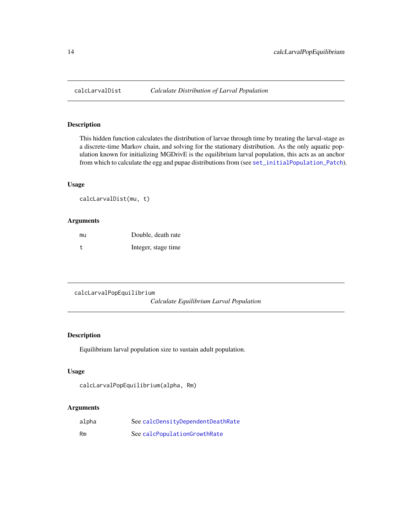# Description

This hidden function calculates the distribution of larvae through time by treating the larval-stage as a discrete-time Markov chain, and solving for the stationary distribution. As the only aquatic population known for initializing MGDrivE is the equilibrium larval population, this acts as an anchor from which to calculate the egg and pupae distributions from (see [set\\_initialPopulation\\_Patch](#page-88-1)).

# Usage

```
calcLarvalDist(mu, t)
```
# Arguments

| mu | Double, death rate  |
|----|---------------------|
| t  | Integer, stage time |

```
calcLarvalPopEquilibrium
                         Calculate Equilibrium Larval Population
```
# Description

Equilibrium larval population size to sustain adult population.

# Usage

```
calcLarvalPopEquilibrium(alpha, Rm)
```

| alpha | See calcDensityDependentDeathRate |
|-------|-----------------------------------|
| Rm    | See calcPopulationGrowthRate      |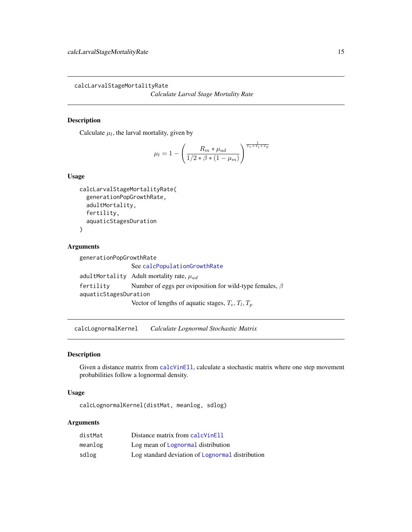<span id="page-14-0"></span>calcLarvalStageMortalityRate

*Calculate Larval Stage Mortality Rate*

#### Description

Calculate  $\mu_l$ , the larval mortality, given by

$$
\mu_l = 1 - \left(\frac{R_m * \mu_{ad}}{1/2 * \beta * (1 - \mu_m)}\right)^{\frac{1}{T_e + T_l + T_p}}
$$

# Usage

```
calcLarvalStageMortalityRate(
  generationPopGrowthRate,
  adultMortality,
  fertility,
  aquaticStagesDuration
\mathcal{E}
```
#### Arguments

```
generationPopGrowthRate
                 See calcPopulationGrowthRate
adultMortality Adult mortality rate, \mu_{ad}fertility Number of eggs per oviposition for wild-type females, \betaaquaticStagesDuration
                  Vector of lengths of aquatic stages, T_e, T_l, T_p
```
calcLognormalKernel *Calculate Lognormal Stochastic Matrix*

# Description

Given a distance matrix from [calcVinEll](#page-18-1), calculate a stochastic matrix where one step movement probabilities follow a lognormal density.

#### Usage

```
calcLognormalKernel(distMat, meanlog, sdlog)
```

| distMat | Distance matrix from calcVinEll                  |
|---------|--------------------------------------------------|
| meanlog | Log mean of Lognormal distribution               |
| sdlog   | Log standard deviation of Lognormal distribution |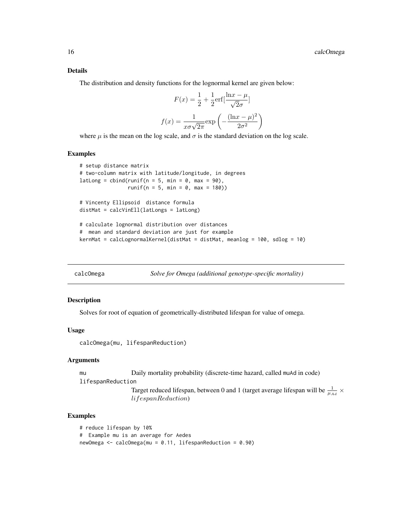#### <span id="page-15-0"></span>Details

The distribution and density functions for the lognormal kernel are given below:

$$
F(x) = \frac{1}{2} + \frac{1}{2} \text{erf} \left[ \frac{\ln x - \mu}{\sqrt{2}\sigma} \right]
$$

$$
f(x) = \frac{1}{x\sigma\sqrt{2\pi}} \exp\left(-\frac{(\ln x - \mu)^2}{2\sigma^2}\right)
$$

where  $\mu$  is the mean on the log scale, and  $\sigma$  is the standard deviation on the log scale.

#### Examples

```
# setup distance matrix
# two-column matrix with latitude/longitude, in degrees
latLong = cbind(runif(n = 5, min = 0, max = 90),
               runif(n = 5, min = 0, max = 180)# Vincenty Ellipsoid distance formula
distMat = calcVinEll(latLongs = latLong)
# calculate lognormal distribution over distances
# mean and standard deviation are just for example
kernMat = calcLognormalKernel(distMat = distMat, meanlog = 100, sdlog = 10)
```
calcOmega *Solve for Omega (additional genotype-specific mortality)*

#### Description

Solves for root of equation of geometrically-distributed lifespan for value of omega.

#### Usage

calcOmega(mu, lifespanReduction)

#### Arguments

mu Daily mortality probability (discrete-time hazard, called muAd in code)

```
lifespanReduction
```
Target reduced lifespan, between 0 and 1 (target average lifespan will be  $\frac{1}{\mu_{Ad}} \times$ lifespanReduction)

#### Examples

```
# reduce lifespan by 10%
# Example mu is an average for Aedes
newOmega <- calcOmega(mu = 0.11, lifespanReduction = 0.90)
```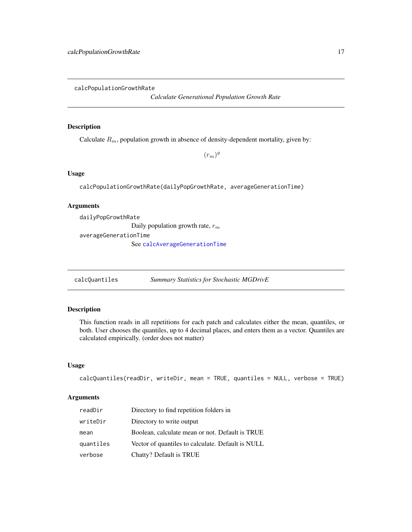<span id="page-16-1"></span><span id="page-16-0"></span>calcPopulationGrowthRate

*Calculate Generational Population Growth Rate*

# Description

Calculate  $R_m$ , population growth in absence of density-dependent mortality, given by:

 $(r_m)^g$ 

# Usage

calcPopulationGrowthRate(dailyPopGrowthRate, averageGenerationTime)

#### Arguments

dailyPopGrowthRate

Daily population growth rate,  $r_m$ 

averageGenerationTime

See [calcAverageGenerationTime](#page-8-1)

calcQuantiles *Summary Statistics for Stochastic MGDrivE*

# Description

This function reads in all repetitions for each patch and calculates either the mean, quantiles, or both. User chooses the quantiles, up to 4 decimal places, and enters them as a vector. Quantiles are calculated empirically. (order does not matter)

#### Usage

```
calcQuantiles(readDir, writeDir, mean = TRUE, quantiles = NULL, verbose = TRUE)
```

| readDir   | Directory to find repetition folders in           |
|-----------|---------------------------------------------------|
| writeDir  | Directory to write output                         |
| mean      | Boolean, calculate mean or not. Default is TRUE   |
| quantiles | Vector of quantiles to calculate. Default is NULL |
| verbose   | Chatty? Default is TRUE                           |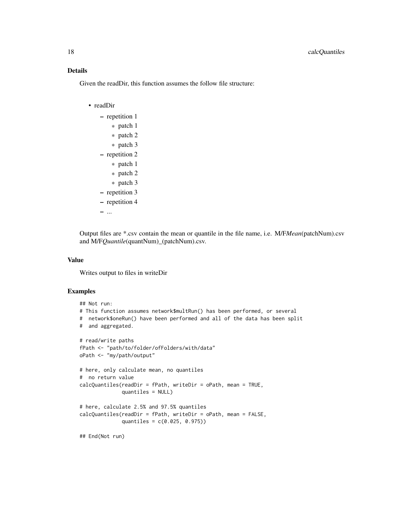# Details

Given the readDir, this function assumes the follow file structure:

```
• readDir
```
- repetition 1
	- \* patch 1
	- \* patch 2
	- \* patch 3
- repetition 2
	- \* patch 1
	- \* patch 2
	- \* patch 3
- repetition 3
- repetition 4

– ...

Output files are \*.csv contain the mean or quantile in the file name, i.e. M/F*Mean*(patchNum).csv and M/F*Quantile*(quantNum)\_(patchNum).csv.

### Value

Writes output to files in writeDir

#### Examples

```
## Not run:
# This function assumes network$multRun() has been performed, or several
# network$oneRun() have been performed and all of the data has been split
# and aggregated.
# read/write paths
fPath <- "path/to/folder/ofFolders/with/data"
oPath <- "my/path/output"
# here, only calculate mean, no quantiles
# no return value
calcQuantiles(readDir = fPath, writeDir = oPath, mean = TRUE,
             quantiles = NULL)
# here, calculate 2.5% and 97.5% quantiles
calcQuantiles(readDir = fPath, writeDir = oPath, mean = FALSE,
              quantiles = c(0.025, 0.975))
## End(Not run)
```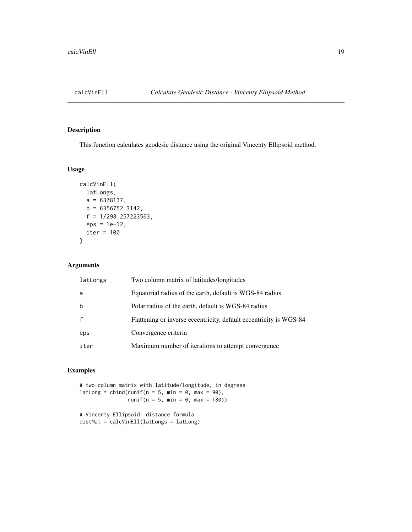<span id="page-18-1"></span><span id="page-18-0"></span>

# Description

This function calculates geodesic distance using the original Vincenty Ellipsoid method.

# Usage

```
calcVinEll(
  latLongs,
 a = 6378137,b = 6356752.3142,f = 1/298.257223563,
 eps = 1e-12,
 iter = 100
)
```
# Arguments

| latLongs | Two column matrix of latitudes/longitudes                          |
|----------|--------------------------------------------------------------------|
| a        | Equatorial radius of the earth, default is WGS-84 radius           |
| b        | Polar radius of the earth, default is WGS-84 radius                |
|          | Flattening or inverse eccentricity, default eccentricity is WGS-84 |
| eps      | Convergence criteria                                               |
| iter     | Maximum number of iterations to attempt convergence                |

# Examples

# two-column matrix with latitude/longitude, in degrees latLong = cbind(runif(n = 5, min =  $0$ , max =  $90$ ),  $runif(n = 5, min = 0, max = 180)$ 

```
# Vincenty Ellipsoid distance formula
distMat = calcVinEll(latLongs = latLong)
```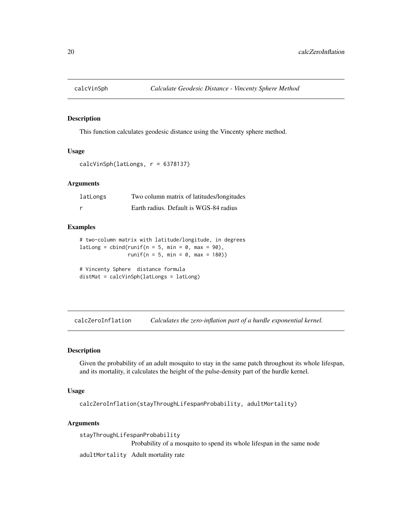<span id="page-19-0"></span>

# Description

This function calculates geodesic distance using the Vincenty sphere method.

#### Usage

```
calcVinSph(latLongs, r = 6378137)
```
#### Arguments

| latLongs | Two column matrix of latitudes/longitudes |
|----------|-------------------------------------------|
|          | Earth radius. Default is WGS-84 radius    |

#### Examples

```
# two-column matrix with latitude/longitude, in degrees
latLong = cbind(runif(n = 5, min = 0, max = 90),
               runif(n = 5, min = 0, max = 180)
```
# Vincenty Sphere distance formula distMat = calcVinSph(latLongs = latLong)

<span id="page-19-1"></span>calcZeroInflation *Calculates the zero-inflation part of a hurdle exponential kernel.*

#### Description

Given the probability of an adult mosquito to stay in the same patch throughout its whole lifespan, and its mortality, it calculates the height of the pulse-density part of the hurdle kernel.

#### Usage

calcZeroInflation(stayThroughLifespanProbability, adultMortality)

```
stayThroughLifespanProbability
                 Probability of a mosquito to spend its whole lifespan in the same node
adultMortality Adult mortality rate
```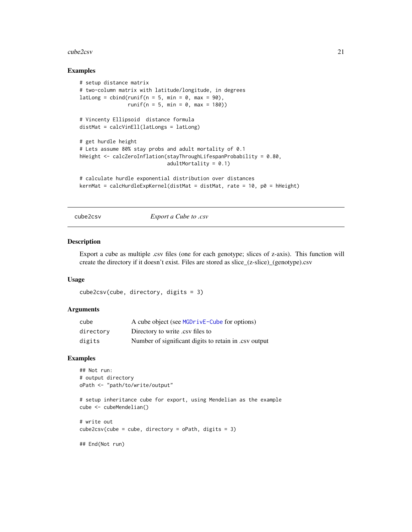#### <span id="page-20-0"></span>cube2csv 21

#### Examples

```
# setup distance matrix
# two-column matrix with latitude/longitude, in degrees
latLong = cbind(runif(n = 5, min = 0, max = 90),
               runif(n = 5, min = 0, max = 180)# Vincenty Ellipsoid distance formula
distMat = calcVinEll(latLongs = latLong)
# get hurdle height
# Lets assume 80% stay probs and adult mortality of 0.1
hHeight <- calcZeroInflation(stayThroughLifespanProbability = 0.80,
                            adultMortality = 0.1)
# calculate hurdle exponential distribution over distances
```

```
kernMat = calcHurdleExpKernel(distMat = distMat, rate = 10, p0 = hHeight)
```
cube2csv *Export a Cube to .csv*

#### Description

Export a cube as multiple .csv files (one for each genotype; slices of z-axis). This function will create the directory if it doesn't exist. Files are stored as slice\_(z-slice)\_(genotype).csv

#### Usage

```
cube2csv(cube, directory, digits = 3)
```
#### **Arguments**

| cube      | A cube object (see MGDrivE-Cube for options)          |
|-----------|-------------------------------------------------------|
| directory | Directory to write .csv files to                      |
| digits    | Number of significant digits to retain in .csv output |

# Examples

```
## Not run:
# output directory
oPath <- "path/to/write/output"
# setup inheritance cube for export, using Mendelian as the example
cube <- cubeMendelian()
# write out
cube2csv(cube = cube, directory = oPath, digits = 3)## End(Not run)
```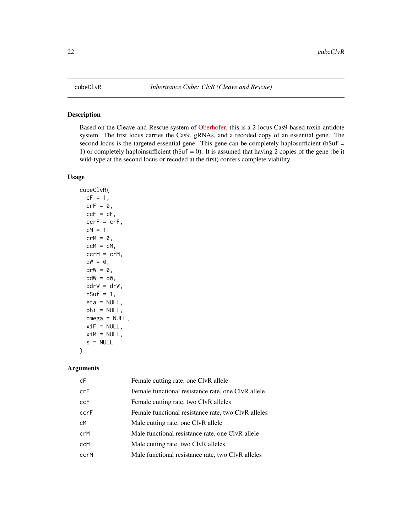# <span id="page-21-0"></span>Description

Based on the Cleave-and-Rescue system of [Oberhofer,](https://doi.org/10.1073/pnas.1921698117) this is a 2-locus Cas9-based toxin-antidote system. The first locus carries the Cas9, gRNAs, and a recoded copy of an essential gene. The second locus is the targeted essential gene. This gene can be completely haplosufficient (hSuf = 1) or completely haploinsufficient ( $h\text{Suf} = 0$ ). It is assumed that having 2 copies of the gene (be it wild-type at the second locus or recoded at the first) confers complete viability.

# Usage

```
cubeClvR(
  cF = 1,
  crF = 0,
  ccF = cF,
  ccrF = crF,cM = 1,
  crM = 0,
  ccM = cM,
  ccrM = crM,
  dW = 0,
  \text{drW} = \emptyset,
  ddW = dW,
  ddrW = drW,
  hSuf = 1,
  eta = NULL,
  phi = NULL,omega = NULL,
  xiF = NULL,
  xiM = NULL,
  s = NULL
```
#### Arguments

 $\mathcal{E}$ 

| cF   | Female cutting rate, one ClvR allele                |
|------|-----------------------------------------------------|
| crF  | Female functional resistance rate, one ClvR allele  |
| ccF  | Female cutting rate, two ClvR alleles               |
| ccrF | Female functional resistance rate, two ClvR alleles |
| сM   | Male cutting rate, one ClvR allele                  |
| crM  | Male functional resistance rate, one ClvR allele    |
| ccM  | Male cutting rate, two ClvR alleles                 |
| ccrM | Male functional resistance rate, two ClvR alleles   |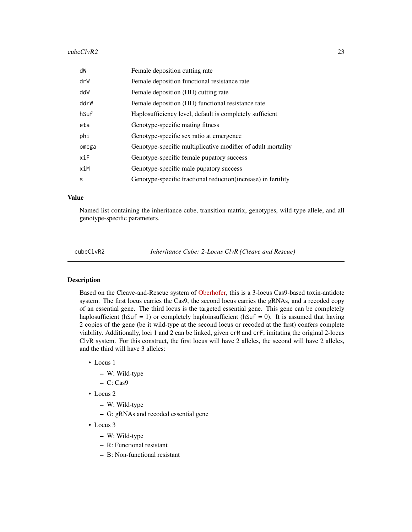#### <span id="page-22-0"></span> $cubeClvR2$  23

| dW    | Female deposition cutting rate                                 |
|-------|----------------------------------------------------------------|
| drW   | Female deposition functional resistance rate                   |
| ddW   | Female deposition (HH) cutting rate                            |
| ddrW  | Female deposition (HH) functional resistance rate              |
| hSuf  | Haplosufficiency level, default is completely sufficient       |
| eta   | Genotype-specific mating fitness                               |
| phi   | Genotype-specific sex ratio at emergence                       |
| omega | Genotype-specific multiplicative modifier of adult mortality   |
| xiF   | Genotype-specific female pupatory success                      |
| xiM   | Genotype-specific male pupatory success                        |
| S     | Genotype-specific fractional reduction (increase) in fertility |

#### Value

Named list containing the inheritance cube, transition matrix, genotypes, wild-type allele, and all genotype-specific parameters.

cubeClvR2 *Inheritance Cube: 2-Locus ClvR (Cleave and Rescue)*

#### Description

Based on the Cleave-and-Rescue system of [Oberhofer,](https://doi.org/10.1101/2020.07.09.196253) this is a 3-locus Cas9-based toxin-antidote system. The first locus carries the Cas9, the second locus carries the gRNAs, and a recoded copy of an essential gene. The third locus is the targeted essential gene. This gene can be completely haplosufficient ( $h\text{Suf} = 1$ ) or completely haploinsufficient ( $h\text{Suf} = 0$ ). It is assumed that having 2 copies of the gene (be it wild-type at the second locus or recoded at the first) confers complete viability. Additionally, loci 1 and 2 can be linked, given crM and crF, imitating the original 2-locus ClvR system. For this construct, the first locus will have 2 alleles, the second will have 2 alleles, and the third will have 3 alleles:

- Locus 1
	- W: Wild-type
	- $-$  C: Cas<sup>9</sup>
- Locus 2
	- W: Wild-type
	- G: gRNAs and recoded essential gene
- Locus 3
	- W: Wild-type
	- R: Functional resistant
	- B: Non-functional resistant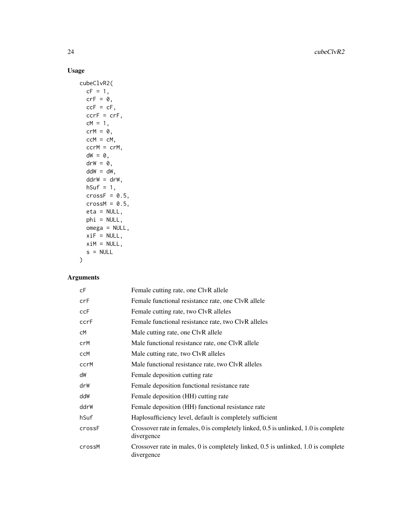# Usage

```
cubeClvR2(
  cF = 1,
  crF = 0,ccF = cF,
  ccrF = crF,
  cM = 1,crM = 0,ccM = cM,
  ccrM = crM,
  dW = 0,
  drW = 0,
  ddW = dW,ddrW = drW,
  hSuf = 1,crossF = 0.5,
  crossM = 0.5,
  eta = NULL,
  phi = NULL,omega = NULL,
  xiF = NULL,xiM = NULL,
  s = NULL\mathcal{L}
```

| сF     | Female cutting rate, one ClvR allele                                                              |
|--------|---------------------------------------------------------------------------------------------------|
| crF    | Female functional resistance rate, one ClvR allele                                                |
| ccF    | Female cutting rate, two ClvR alleles                                                             |
| ccrF   | Female functional resistance rate, two ClvR alleles                                               |
| сM     | Male cutting rate, one ClvR allele                                                                |
| crM    | Male functional resistance rate, one ClvR allele                                                  |
| ccM    | Male cutting rate, two ClvR alleles                                                               |
| ccrM   | Male functional resistance rate, two ClvR alleles                                                 |
| dW     | Female deposition cutting rate                                                                    |
| drW    | Female deposition functional resistance rate                                                      |
| ddW    | Female deposition (HH) cutting rate                                                               |
| ddrW   | Female deposition (HH) functional resistance rate                                                 |
| hSuf   | Haplosufficiency level, default is completely sufficient                                          |
| crossF | Crossover rate in females, 0 is completely linked, 0.5 is unlinked, 1.0 is complete<br>divergence |
| crossM | Crossover rate in males, 0 is completely linked, 0.5 is unlinked, 1.0 is complete<br>divergence   |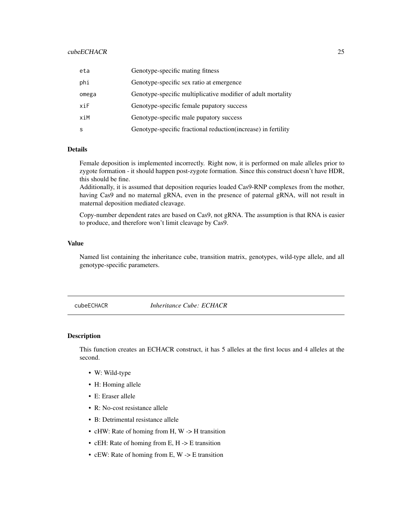# <span id="page-24-0"></span>cubeECHACR 25

| eta   | Genotype-specific mating fitness                               |
|-------|----------------------------------------------------------------|
| phi   | Genotype-specific sex ratio at emergence                       |
| omega | Genotype-specific multiplicative modifier of adult mortality   |
| xiF   | Genotype-specific female pupatory success                      |
| xiM   | Genotype-specific male pupatory success                        |
| S     | Genotype-specific fractional reduction (increase) in fertility |

# **Details**

Female deposition is implemented incorrectly. Right now, it is performed on male alleles prior to zygote formation - it should happen post-zygote formation. Since this construct doesn't have HDR, this should be fine.

Additionally, it is assumed that deposition requries loaded Cas9-RNP complexes from the mother, having Cas9 and no maternal gRNA, even in the presence of paternal gRNA, will not result in maternal deposition mediated cleavage.

Copy-number dependent rates are based on Cas9, not gRNA. The assumption is that RNA is easier to produce, and therefore won't limit cleavage by Cas9.

# Value

Named list containing the inheritance cube, transition matrix, genotypes, wild-type allele, and all genotype-specific parameters.

cubeECHACR *Inheritance Cube: ECHACR*

#### **Description**

This function creates an ECHACR construct, it has 5 alleles at the first locus and 4 alleles at the second.

- W: Wild-type
- H: Homing allele
- E: Eraser allele
- R: No-cost resistance allele
- B: Detrimental resistance allele
- cHW: Rate of homing from H, W -> H transition
- cEH: Rate of homing from E, H -> E transition
- cEW: Rate of homing from E, W -> E transition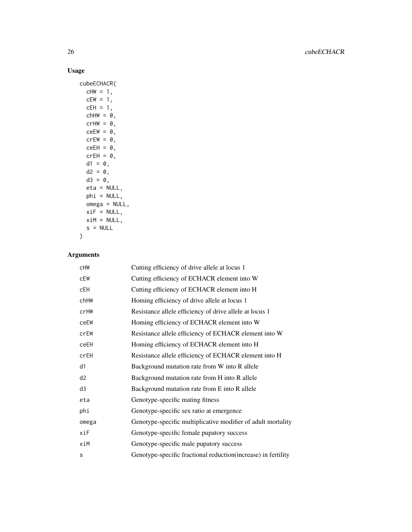# Usage

```
cubeECHACR(
  cHW = 1,
  cEW = 1,
  cEH = 1,
  chHW = 0,
  crHW = 0,ceEW = 0,
  crEW = 0,ceEH = 0,
  crEH = 0,d1 = 0,
  d2 = 0,
  d3 = 0,
  eta = NULL,
  phi = NULL,
  omega = NULL,
  xif = NULL,xiM = NULL,
  s = NULL\mathcal{L}
```

| <b>CHW</b> | Cutting efficiency of drive allele at locus 1                 |
|------------|---------------------------------------------------------------|
| cEW        | Cutting efficiency of ECHACR element into W                   |
| cEH        | Cutting efficiency of ECHACR element into H                   |
| chHW       | Homing efficiency of drive allele at locus 1                  |
| crHW       | Resistance allele efficiency of drive allele at locus 1       |
| ceEW       | Homing efficiency of ECHACR element into W                    |
| crEW       | Resistance allele efficiency of ECHACR element into W         |
| ceEH       | Homing efficiency of ECHACR element into H                    |
| crEH       | Resistance allele efficiency of ECHACR element into H         |
| d1         | Background mutation rate from W into R allele                 |
| d2         | Background mutation rate from H into R allele                 |
| d3         | Background mutation rate from E into R allele                 |
| eta        | Genotype-specific mating fitness                              |
| phi        | Genotype-specific sex ratio at emergence                      |
| omega      | Genotype-specific multiplicative modifier of adult mortality  |
| xiF        | Genotype-specific female pupatory success                     |
| xiM        | Genotype-specific male pupatory success                       |
| S          | Genotype-specific fractional reduction(increase) in fertility |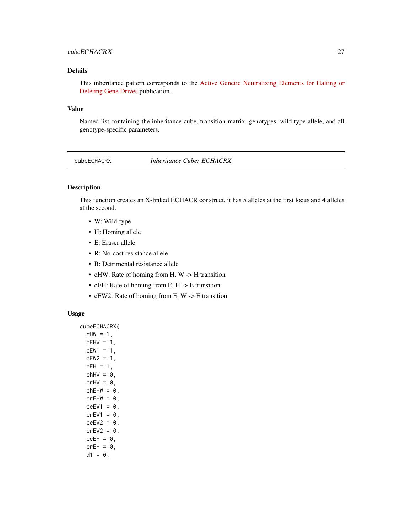# <span id="page-26-0"></span>cubeECHACRX 27

# Details

This inheritance pattern corresponds to the [Active Genetic Neutralizing Elements for Halting or](https://doi.org/10.1016/j.molcel.2020.09.003) [Deleting Gene Drives](https://doi.org/10.1016/j.molcel.2020.09.003) publication.

#### Value

Named list containing the inheritance cube, transition matrix, genotypes, wild-type allele, and all genotype-specific parameters.

cubeECHACRX *Inheritance Cube: ECHACRX*

#### Description

This function creates an X-linked ECHACR construct, it has 5 alleles at the first locus and 4 alleles at the second.

- W: Wild-type
- H: Homing allele
- E: Eraser allele
- R: No-cost resistance allele
- B: Detrimental resistance allele
- cHW: Rate of homing from H, W -> H transition
- cEH: Rate of homing from E, H -> E transition
- cEW2: Rate of homing from E, W -> E transition

#### Usage

cubeECHACRX(  $cHW = 1$ ,  $cEHW = 1$ ,  $cEW1 = 1,$  $cEW2 = 1$ ,  $cEH = 1$ ,  $chHW = 0$ ,  $crHW = 0$ ,  $chEHW = 0$ ,  $crEHW = 0$ ,  $ceEW1 = 0$ ,  $crEW1 = 0$ ,  $ceEW2 = 0$ ,  $crEW2 = 0$ ,  $ceEH = 0$ ,  $crEH = 0,$  $d1 = 0$ ,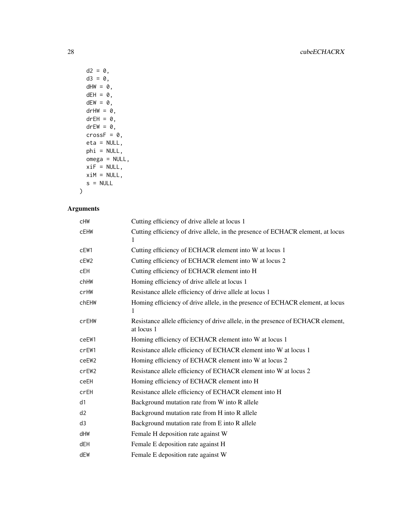```
d2 = 0,
d3 = 0,
dHW = 0,
dEH = 0,
dEW = 0,drHW = \theta,
drEH = 0,
drEW = 0,crossF = 0,eta = NULL,
phi = NULL,
omega = NULL,
xiF = NULL,xiM = NULL,
s = NULL
```
# Arguments

)

| cHW               | Cutting efficiency of drive allele at locus 1                                                  |
|-------------------|------------------------------------------------------------------------------------------------|
| <b>CEHW</b>       | Cutting efficiency of drive allele, in the presence of ECHACR element, at locus                |
| cEW1              | Cutting efficiency of ECHACR element into W at locus 1                                         |
| cEW <sub>2</sub>  | Cutting efficiency of ECHACR element into W at locus 2                                         |
| <b>cEH</b>        | Cutting efficiency of ECHACR element into H                                                    |
| chHW              | Homing efficiency of drive allele at locus 1                                                   |
| crHW              | Resistance allele efficiency of drive allele at locus 1                                        |
| chEHW             | Homing efficiency of drive allele, in the presence of ECHACR element, at locus<br>1            |
| crEHW             | Resistance allele efficiency of drive allele, in the presence of ECHACR element,<br>at locus 1 |
| ceEW1             | Homing efficiency of ECHACR element into W at locus 1                                          |
| crEW1             | Resistance allele efficiency of ECHACR element into W at locus 1                               |
| ceEW <sub>2</sub> | Homing efficiency of ECHACR element into W at locus 2                                          |
| crEW <sub>2</sub> | Resistance allele efficiency of ECHACR element into W at locus 2                               |
| ceEH              | Homing efficiency of ECHACR element into H                                                     |
| crEH              | Resistance allele efficiency of ECHACR element into H                                          |
| d1                | Background mutation rate from W into R allele                                                  |
| d2                | Background mutation rate from H into R allele                                                  |
| d <sub>3</sub>    | Background mutation rate from E into R allele                                                  |
| dHW               | Female H deposition rate against W                                                             |
| dEH               | Female E deposition rate against H                                                             |
| dEW               | Female E deposition rate against W                                                             |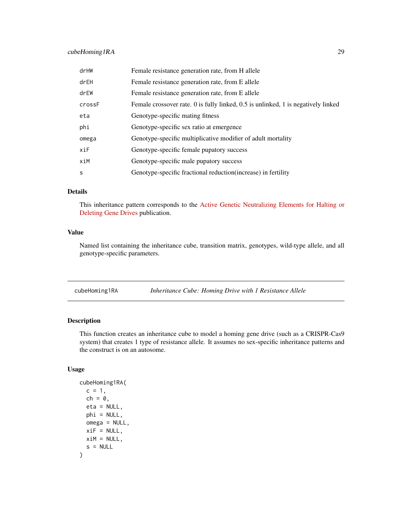# <span id="page-28-0"></span>cubeHoming1RA 29

| drHW   | Female resistance generation rate, from H allele                                  |
|--------|-----------------------------------------------------------------------------------|
| drEH   | Female resistance generation rate, from E allele                                  |
| drEW   | Female resistance generation rate, from E allele                                  |
| crossF | Female crossover rate. 0 is fully linked, 0.5 is unlinked, 1 is negatively linked |
| eta    | Genotype-specific mating fitness                                                  |
| phi    | Genotype-specific sex ratio at emergence                                          |
| omega  | Genotype-specific multiplicative modifier of adult mortality                      |
| xiF    | Genotype-specific female pupatory success                                         |
| xiM    | Genotype-specific male pupatory success                                           |
| S      | Genotype-specific fractional reduction(increase) in fertility                     |

# Details

This inheritance pattern corresponds to the [Active Genetic Neutralizing Elements for Halting or](https://doi.org/10.1016/j.molcel.2020.09.003) [Deleting Gene Drives](https://doi.org/10.1016/j.molcel.2020.09.003) publication.

# Value

Named list containing the inheritance cube, transition matrix, genotypes, wild-type allele, and all genotype-specific parameters.

<span id="page-28-1"></span>cubeHoming1RA *Inheritance Cube: Homing Drive with 1 Resistance Allele*

# Description

This function creates an inheritance cube to model a homing gene drive (such as a CRISPR-Cas9 system) that creates 1 type of resistance allele. It assumes no sex-specific inheritance patterns and the construct is on an autosome.

# Usage

```
cubeHoming1RA(
 c = 1,ch = 0,
 eta = NULL,
 phi = NULL,
 omega = NULL,
 xiF = NULL,xiM = NULL,
  s = NULL)
```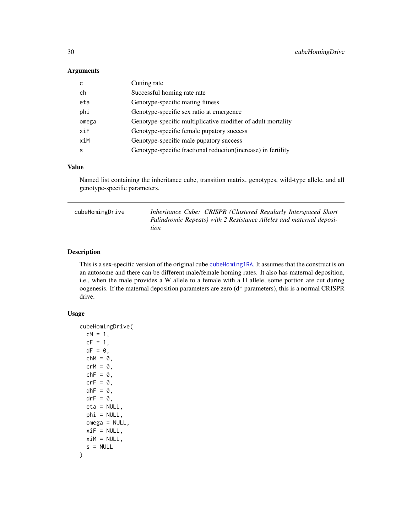# <span id="page-29-0"></span>Arguments

|       | Cutting rate                                                 |
|-------|--------------------------------------------------------------|
| ch    | Successful homing rate rate                                  |
| eta   | Genotype-specific mating fitness                             |
| phi   | Genotype-specific sex ratio at emergence                     |
| omega | Genotype-specific multiplicative modifier of adult mortality |
|       |                                                              |
| xiF   | Genotype-specific female pupatory success                    |
| xiM   | Genotype-specific male pupatory success                      |

# Value

Named list containing the inheritance cube, transition matrix, genotypes, wild-type allele, and all genotype-specific parameters.

| cubeHomingDrive | Inheritance Cube: CRISPR (Clustered Regularly Interspaced Short)            |
|-----------------|-----------------------------------------------------------------------------|
|                 | Palindromic Repeats) with 2 Resistance Alleles and maternal deposi-<br>tion |
|                 |                                                                             |

### Description

This is a sex-specific version of the original cube [cubeHoming1RA](#page-28-1). It assumes that the construct is on an autosome and there can be different male/female homing rates. It also has maternal deposition, i.e., when the male provides a W allele to a female with a H allele, some portion are cut during oogenesis. If the maternal deposition parameters are zero (d\* parameters), this is a normal CRISPR drive.

#### Usage

```
cubeHomingDrive(
  cM = 1,
  cF = 1,
  dF = 0,
  chM = 0,
  crM = 0,chF = 0,
  crF = 0,
  dhF = 0,
  drF = 0,
  eta = NULL,
  phi = NULL,
  omega = NULL,
  xiF = NULL,xiM = NULL,
  s = NULL)
```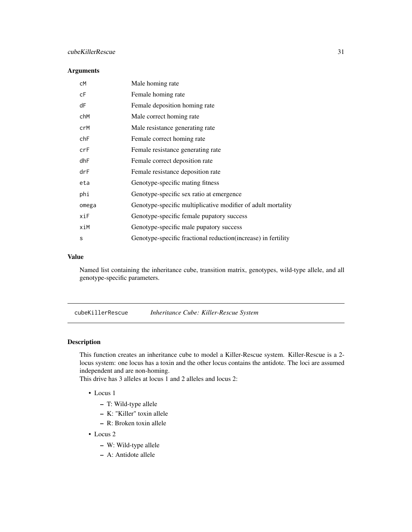# <span id="page-30-0"></span>cubeKillerRescue 31

# Arguments

| сM    | Male homing rate                                               |
|-------|----------------------------------------------------------------|
| сF    | Female homing rate                                             |
| dF    | Female deposition homing rate                                  |
| chM   | Male correct homing rate                                       |
| crM   | Male resistance generating rate                                |
| chF   | Female correct homing rate                                     |
| crF   | Female resistance generating rate                              |
| dhF   | Female correct deposition rate                                 |
| drF   | Female resistance deposition rate                              |
| eta   | Genotype-specific mating fitness                               |
| phi   | Genotype-specific sex ratio at emergence                       |
| omega | Genotype-specific multiplicative modifier of adult mortality   |
| xiF   | Genotype-specific female pupatory success                      |
| xiM   | Genotype-specific male pupatory success                        |
| S     | Genotype-specific fractional reduction (increase) in fertility |

# Value

Named list containing the inheritance cube, transition matrix, genotypes, wild-type allele, and all genotype-specific parameters.

cubeKillerRescue *Inheritance Cube: Killer-Rescue System*

# Description

This function creates an inheritance cube to model a Killer-Rescue system. Killer-Rescue is a 2 locus system: one locus has a toxin and the other locus contains the antidote. The loci are assumed independent and are non-homing.

This drive has 3 alleles at locus 1 and 2 alleles and locus 2:

- Locus 1
	- T: Wild-type allele
	- K: "Killer" toxin allele
	- R: Broken toxin allele
- Locus 2
	- W: Wild-type allele
	- A: Antidote allele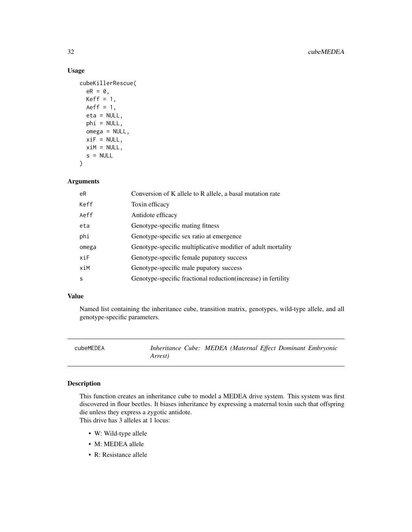# Usage

```
cubeKillerRescue(
 eR = 0,
 Keff = 1,Aeff = 1,
 eta = NULL,
 phi = NULL,
 omega = NULL,
 xif = NULL,xiM = NULL,
  s = NULL)
```
# Arguments

| eR    | Conversion of K allele to R allele, a basal mutation rate      |
|-------|----------------------------------------------------------------|
| Keff  | Toxin efficacy                                                 |
| Aeff  | Antidote efficacy                                              |
| eta   | Genotype-specific mating fitness                               |
| phi   | Genotype-specific sex ratio at emergence                       |
| omega | Genotype-specific multiplicative modifier of adult mortality   |
| xiF   | Genotype-specific female pupatory success                      |
| xiM   | Genotype-specific male pupatory success                        |
| S     | Genotype-specific fractional reduction (increase) in fertility |

# Value

Named list containing the inheritance cube, transition matrix, genotypes, wild-type allele, and all genotype-specific parameters.

| cubeMEDEA |                 | Inheritance Cube: MEDEA (Maternal Effect Dominant Embryonic |  |  |
|-----------|-----------------|-------------------------------------------------------------|--|--|
|           | <i>Arrest</i> ) |                                                             |  |  |

# Description

This function creates an inheritance cube to model a MEDEA drive system. This system was first discovered in flour beetles. It biases inheritance by expressing a maternal toxin such that offspring die unless they express a zygotic antidote.

This drive has 3 alleles at 1 locus:

- W: Wild-type allele
- M: MEDEA allele
- R: Resistance allele

<span id="page-31-0"></span>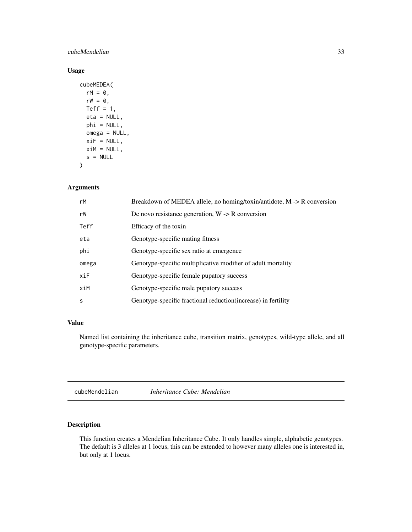#### <span id="page-32-0"></span>cubeMendelian 33

# Usage

```
cubeMEDEA(
  rM = 0,
  rW = 0,
  Teff = 1,
  eta = NULL,
  phi = NULL,
  omega = NULL,
  xiF = NULL,xiM = NULL,
  s = NULL\mathcal{L}
```
#### Arguments

| rM    | Breakdown of MEDEA allele, no homing/toxin/antidote, $M \rightarrow R$ conversion |
|-------|-----------------------------------------------------------------------------------|
| rW    | De novo resistance generation, $W \rightarrow R$ conversion                       |
| Teff  | Efficacy of the toxin                                                             |
| eta   | Genotype-specific mating fitness                                                  |
| phi   | Genotype-specific sex ratio at emergence                                          |
| omega | Genotype-specific multiplicative modifier of adult mortality                      |
| xiF   | Genotype-specific female pupatory success                                         |
| xiM   | Genotype-specific male pupatory success                                           |
| S     | Genotype-specific fractional reduction (increase) in fertility                    |

# Value

Named list containing the inheritance cube, transition matrix, genotypes, wild-type allele, and all genotype-specific parameters.

cubeMendelian *Inheritance Cube: Mendelian*

# Description

This function creates a Mendelian Inheritance Cube. It only handles simple, alphabetic genotypes. The default is 3 alleles at 1 locus, this can be extended to however many alleles one is interested in, but only at 1 locus.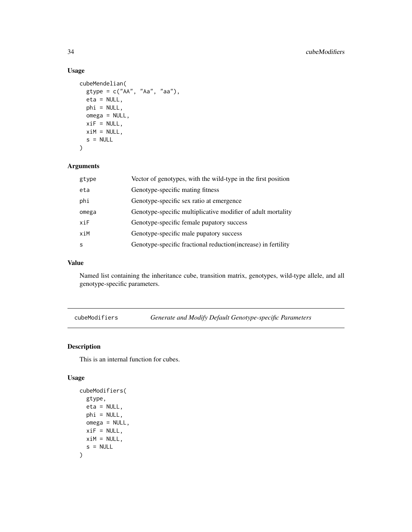# Usage

```
cubeMendelian(
 gtype = c("AA", "Aa", "aa"),
 eta = NULL,
 phi = NULL,
 omega = NULL,
 xiF = NULL,xiM = NULL,
 s = NULL)
```
# Arguments

| gtype | Vector of genotypes, with the wild-type in the first position  |
|-------|----------------------------------------------------------------|
| eta   | Genotype-specific mating fitness                               |
| phi   | Genotype-specific sex ratio at emergence                       |
| omega | Genotype-specific multiplicative modifier of adult mortality   |
| xi    | Genotype-specific female pupatory success                      |
| xiM   | Genotype-specific male pupatory success                        |
| S     | Genotype-specific fractional reduction (increase) in fertility |

# Value

Named list containing the inheritance cube, transition matrix, genotypes, wild-type allele, and all genotype-specific parameters.

cubeModifiers *Generate and Modify Default Genotype-specific Parameters*

# Description

This is an internal function for cubes.

#### Usage

```
cubeModifiers(
  gtype,
  eta = NULL,
  phi = NULL,
  omega = NULL,
  xiF = NULL,xiM = NULL,
  s = NULL\mathcal{E}
```
<span id="page-33-0"></span>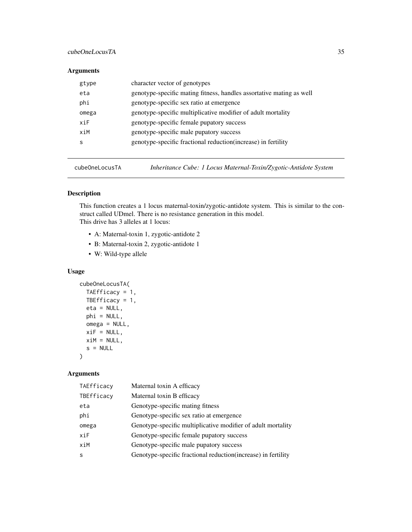# <span id="page-34-0"></span>cubeOneLocusTA 35

# Arguments

| gtype | character vector of genotypes                                        |
|-------|----------------------------------------------------------------------|
| eta   | genotype-specific mating fitness, handles assortative mating as well |
| phi   | genotype-specific sex ratio at emergence                             |
| omega | genotype-specific multiplicative modifier of adult mortality         |
| xiF   | genotype-specific female pupatory success                            |
| xiM   | genotype-specific male pupatory success                              |
| S     | genotype-specific fractional reduction (increase) in fertility       |
|       |                                                                      |

cubeOneLocusTA *Inheritance Cube: 1 Locus Maternal-Toxin/Zygotic-Antidote System*

# Description

This function creates a 1 locus maternal-toxin/zygotic-antidote system. This is similar to the construct called UDmel. There is no resistance generation in this model. This drive has 3 alleles at 1 locus:

- A: Maternal-toxin 1, zygotic-antidote 2
- B: Maternal-toxin 2, zygotic-antidote 1
- W: Wild-type allele

# Usage

```
cubeOneLocusTA(
 TAEfficacy = 1,
 TBEfficacy = 1,
 eta = NULL,phi = NULL,
 omega = NULL,
 xiF = NULL,xiM = NULL,
  s = NULL)
```

| TAEfficacy | Maternal toxin A efficacy                                      |
|------------|----------------------------------------------------------------|
| TBEfficacy | Maternal toxin B efficacy                                      |
| eta        | Genotype-specific mating fitness                               |
| phi        | Genotype-specific sex ratio at emergence                       |
| omega      | Genotype-specific multiplicative modifier of adult mortality   |
| xiF        | Genotype-specific female pupatory success                      |
| xiM        | Genotype-specific male pupatory success                        |
| S          | Genotype-specific fractional reduction (increase) in fertility |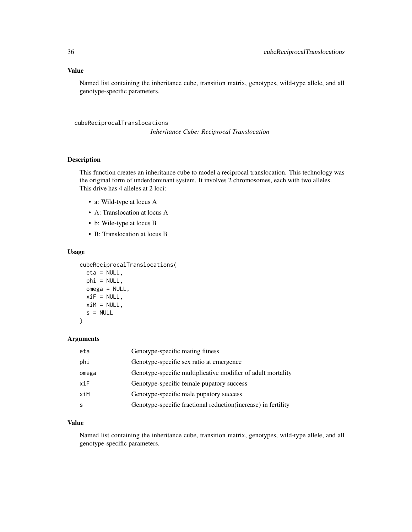# <span id="page-35-0"></span>Value

Named list containing the inheritance cube, transition matrix, genotypes, wild-type allele, and all genotype-specific parameters.

cubeReciprocalTranslocations

*Inheritance Cube: Reciprocal Translocation*

# Description

This function creates an inheritance cube to model a reciprocal translocation. This technology was the original form of underdominant system. It involves 2 chromosomes, each with two alleles. This drive has 4 alleles at 2 loci:

- a: Wild-type at locus A
- A: Translocation at locus A
- b: Wile-type at locus B
- B: Translocation at locus B

#### Usage

```
cubeReciprocalTranslocations(
```

```
eta = NULL,
phi = NULL,
omega = NULL,
xiF = NULL,xiM = NULL,
s = NULL
```
#### Arguments

 $\lambda$ 

| eta   | Genotype-specific mating fitness                               |
|-------|----------------------------------------------------------------|
| phi   | Genotype-specific sex ratio at emergence                       |
| omega | Genotype-specific multiplicative modifier of adult mortality   |
| xiF   | Genotype-specific female pupatory success                      |
| xiM   | Genotype-specific male pupatory success                        |
|       | Genotype-specific fractional reduction (increase) in fertility |

# Value

Named list containing the inheritance cube, transition matrix, genotypes, wild-type allele, and all genotype-specific parameters.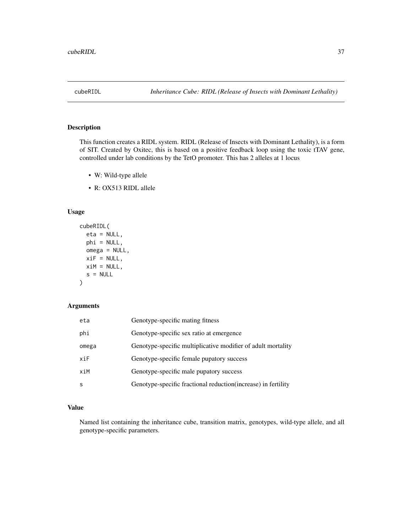<span id="page-36-0"></span>

### Description

This function creates a RIDL system. RIDL (Release of Insects with Dominant Lethality), is a form of SIT. Created by Oxitec, this is based on a positive feedback loop using the toxic tTAV gene, controlled under lab conditions by the TetO promoter. This has 2 alleles at 1 locus

- W: Wild-type allele
- R: OX513 RIDL allele

## Usage

```
cubeRIDL(
  eta = NULL,
  phi = NULL,
  omega = NULL,
  xiF = NULL,xiM = NULL,
  s = NULL\mathcal{L}
```
## Arguments

| eta   | Genotype-specific mating fitness                               |
|-------|----------------------------------------------------------------|
| phi   | Genotype-specific sex ratio at emergence                       |
| omega | Genotype-specific multiplicative modifier of adult mortality   |
| xiF   | Genotype-specific female pupatory success                      |
| xiM   | Genotype-specific male pupatory success                        |
| S     | Genotype-specific fractional reduction (increase) in fertility |

### Value

Named list containing the inheritance cube, transition matrix, genotypes, wild-type allele, and all genotype-specific parameters.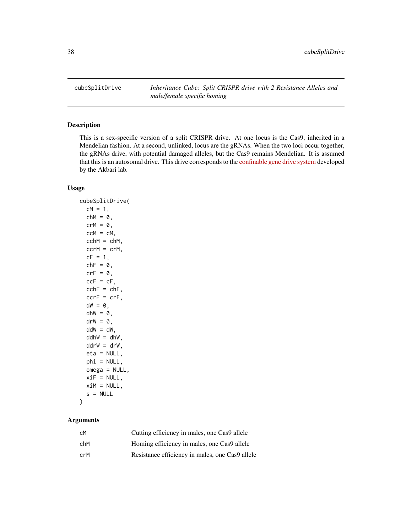<span id="page-37-0"></span>cubeSplitDrive *Inheritance Cube: Split CRISPR drive with 2 Resistance Alleles and male/female specific homing*

### Description

This is a sex-specific version of a split CRISPR drive. At one locus is the Cas9, inherited in a Mendelian fashion. At a second, unlinked, locus are the gRNAs. When the two loci occur together, the gRNAs drive, with potential damaged alleles, but the Cas9 remains Mendelian. It is assumed that this is an autosomal drive. This drive corresponds to the [confinable gene drive system](https://elifesciences.org/articles/51701) developed by the Akbari lab.

## Usage

```
cubeSplitDrive(
  cM = 1,
  chM = 0,
  crM = 0,ccM = cM,
  cchM = chM,
  ccrM = crM,
  cF = 1,
  chF = 0,
  crF = 0,
  ccF = cF,
  cchF = chF,
  ccrF = crF,dW = 0,
  dhW = 0,
  \text{drW} = \emptyset,
  ddW = dW.
  ddhw = dhW,ddrw = drW,
  eta = NULL,
  phi = NULL,
  omega = NULL,xif = NULL,xiM = NULL,
  s = NULL)
```
### **Arguments**

| сM  | Cutting efficiency in males, one Cas9 allele    |
|-----|-------------------------------------------------|
| chM | Homing efficiency in males, one Cas9 allele     |
| crM | Resistance efficiency in males, one Cas9 allele |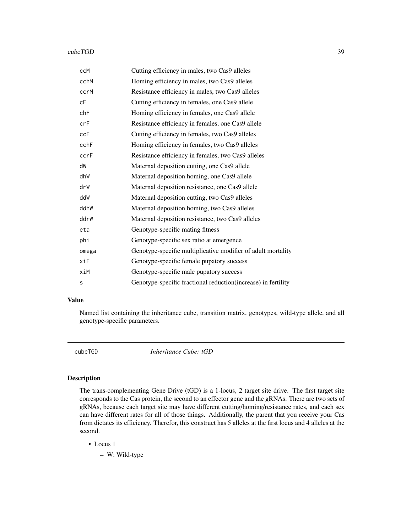#### cubeTGD 39

| ccM   | Cutting efficiency in males, two Cas9 alleles                 |  |
|-------|---------------------------------------------------------------|--|
| cchM  | Homing efficiency in males, two Cas9 alleles                  |  |
| ccrM  | Resistance efficiency in males, two Cas9 alleles              |  |
| cF    | Cutting efficiency in females, one Cas9 allele                |  |
| chF   | Homing efficiency in females, one Cas9 allele                 |  |
| crF   | Resistance efficiency in females, one Cas9 allele             |  |
| ccF   | Cutting efficiency in females, two Cas9 alleles               |  |
| cchF  | Homing efficiency in females, two Cas9 alleles                |  |
| ccrF  | Resistance efficiency in females, two Cas9 alleles            |  |
| dW    | Maternal deposition cutting, one Cas9 allele                  |  |
| dhW   | Maternal deposition homing, one Cas9 allele                   |  |
| drW   | Maternal deposition resistance, one Cas9 allele               |  |
| ddW   | Maternal deposition cutting, two Cas9 alleles                 |  |
| ddhW  | Maternal deposition homing, two Cas9 alleles                  |  |
| ddrW  | Maternal deposition resistance, two Cas9 alleles              |  |
| eta   | Genotype-specific mating fitness                              |  |
| phi   | Genotype-specific sex ratio at emergence                      |  |
| omega | Genotype-specific multiplicative modifier of adult mortality  |  |
| xiF   | Genotype-specific female pupatory success                     |  |
| xiM   | Genotype-specific male pupatory success                       |  |
| s     | Genotype-specific fractional reduction(increase) in fertility |  |

### Value

Named list containing the inheritance cube, transition matrix, genotypes, wild-type allele, and all genotype-specific parameters.

<span id="page-38-0"></span>cubeTGD *Inheritance Cube: tGD*

### Description

The trans-complementing Gene Drive (tGD) is a 1-locus, 2 target site drive. The first target site corresponds to the Cas protein, the second to an effector gene and the gRNAs. There are two sets of gRNAs, because each target site may have different cutting/homing/resistance rates, and each sex can have different rates for all of those things. Additionally, the parent that you receive your Cas from dictates its efficiency. Therefor, this construct has 5 alleles at the first locus and 4 alleles at the second.

• Locus 1

– W: Wild-type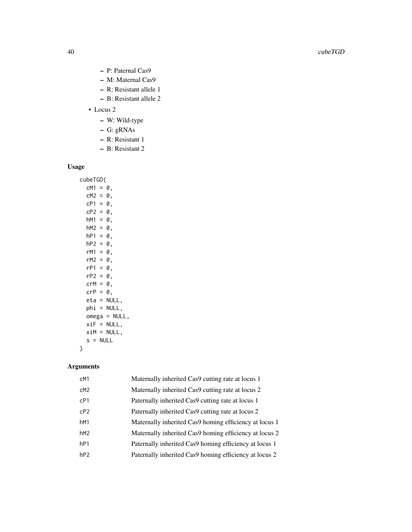- P: Paternal Cas9
- M: Maternal Cas9
- R: Resistant allele 1
- B: Resistant allele 2
- Locus 2
	- W: Wild-type
	- G: gRNAs
	- R: Resistant 1
	- B: Resistant 2

## Usage

cubeTGD(  $cM1 = 0$ ,  $cM2 = 0$ ,  $cP1 = 0$ ,  $cP2 = 0$ ,  $hM1 = 0$ ,  $hM2 = 0$ ,  $hP1 = 0$ ,  $hP2 = 0$ ,  $rM1 = 0$ ,  $rM2 = 0$ ,  $rP1 = 0$ ,  $rP2 = 0$ ,  $crM = 0,$  $crP = 0,$ eta = NULL, phi = NULL, omega = NULL,  $xiF = NULL,$  $x$ iM = NULL,  $s = NULL$  $\mathcal{L}$ 

# Arguments

| cM1             | Maternally inherited Cas9 cutting rate at locus 1      |
|-----------------|--------------------------------------------------------|
| cM <sub>2</sub> | Maternally inherited Cas9 cutting rate at locus 2      |
| CP1             | Paternally inherited Cas9 cutting rate at locus 1      |
| CP <sub>2</sub> | Paternally inherited Cas9 cutting rate at locus 2      |
| hM1             | Maternally inherited Cas9 homing efficiency at locus 1 |
| hM <sub>2</sub> | Maternally inherited Cas9 homing efficiency at locus 2 |
| hP1             | Paternally inherited Cas9 homing efficiency at locus 1 |
| hP2             | Paternally inherited Cas9 homing efficiency at locus 2 |
|                 |                                                        |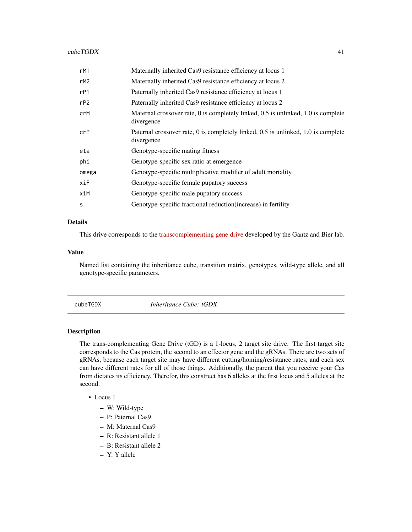### $cubeTGDX$  41

| rM1   | Maternally inherited Cas9 resistance efficiency at locus 1                                      |
|-------|-------------------------------------------------------------------------------------------------|
| rM2   | Maternally inherited Cas9 resistance efficiency at locus 2                                      |
| rP1   | Paternally inherited Cas9 resistance efficiency at locus 1                                      |
| rP2   | Paternally inherited Cas9 resistance efficiency at locus 2                                      |
| crM   | Maternal crossover rate, 0 is completely linked, 0.5 is unlinked, 1.0 is complete<br>divergence |
| crP   | Paternal crossover rate, 0 is completely linked, 0.5 is unlinked, 1.0 is complete<br>divergence |
| eta   | Genotype-specific mating fitness                                                                |
| phi   | Genotype-specific sex ratio at emergence                                                        |
| omega | Genotype-specific multiplicative modifier of adult mortality                                    |
| xiF   | Genotype-specific female pupatory success                                                       |
| xiM   | Genotype-specific male pupatory success                                                         |
| S     | Genotype-specific fractional reduction (increase) in fertility                                  |

## Details

This drive corresponds to the [transcomplementing gene drive](https://www.nature.com/articles/s41467-019-13977-7) developed by the Gantz and Bier lab.

### Value

Named list containing the inheritance cube, transition matrix, genotypes, wild-type allele, and all genotype-specific parameters.

<span id="page-40-0"></span>cubeTGDX *Inheritance Cube: tGDX*

### Description

The trans-complementing Gene Drive (tGD) is a 1-locus, 2 target site drive. The first target site corresponds to the Cas protein, the second to an effector gene and the gRNAs. There are two sets of gRNAs, because each target site may have different cutting/homing/resistance rates, and each sex can have different rates for all of those things. Additionally, the parent that you receive your Cas from dictates its efficiency. Therefor, this construct has 6 alleles at the first locus and 5 alleles at the second.

### • Locus 1

- W: Wild-type
- P: Paternal Cas9
- M: Maternal Cas9
- R: Resistant allele 1
- B: Resistant allele 2
- Y: Y allele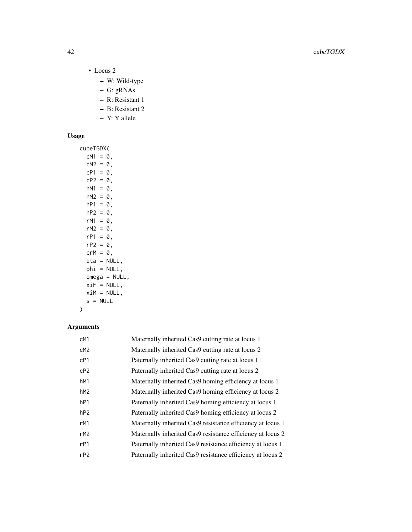- Locus 2
	- W: Wild-type
	- G: gRNAs
	- R: Resistant 1
	- B: Resistant 2
	- Y: Y allele

# Usage

cubeTGDX(  $cM1 = 0$ ,  $cM2 = 0$ ,  $cP1 = 0$ ,  $cP2 = 0$ ,  $hM1 = 0$ ,  $hM2 = 0$ ,  $hP1 = 0$ ,  $hP2 = 0$ ,  $rM1 = 0$ ,  $rM2 = 0$ ,  $rP1 = 0$ ,  $rP2 = 0$ ,  $crM = 0,$ eta = NULL, phi = NULL, omega = NULL,  $xif = NULL,$  $x$ iM = NULL,  $s = NULL$  $\mathcal{L}$ 

# Arguments

| cM1             | Maternally inherited Cas9 cutting rate at locus 1          |
|-----------------|------------------------------------------------------------|
| cM <sub>2</sub> | Maternally inherited Cas9 cutting rate at locus 2          |
| cP1             | Paternally inherited Cas9 cutting rate at locus 1          |
| CP <sub>2</sub> | Paternally inherited Cas9 cutting rate at locus 2          |
| hM1             | Maternally inherited Cas9 homing efficiency at locus 1     |
| hM <sub>2</sub> | Maternally inherited Cas9 homing efficiency at locus 2     |
| hP1             | Paternally inherited Cas9 homing efficiency at locus 1     |
| hP2             | Paternally inherited Cas9 homing efficiency at locus 2     |
| rM1             | Maternally inherited Cas9 resistance efficiency at locus 1 |
| rM2             | Maternally inherited Cas9 resistance efficiency at locus 2 |
| rP1             | Paternally inherited Cas9 resistance efficiency at locus 1 |
| rP2             | Paternally inherited Cas9 resistance efficiency at locus 2 |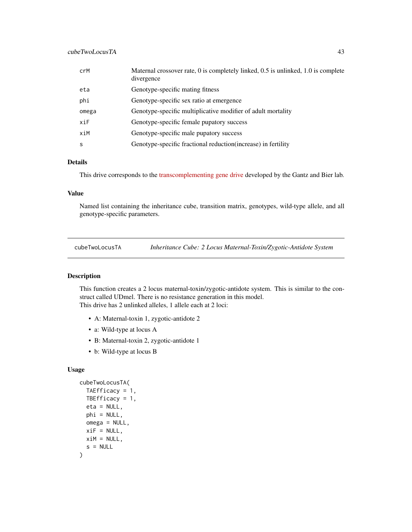| crM   | Maternal crossover rate, 0 is completely linked, 0.5 is unlinked, 1.0 is complete<br>divergence |
|-------|-------------------------------------------------------------------------------------------------|
| eta   | Genotype-specific mating fitness                                                                |
| phi   | Genotype-specific sex ratio at emergence                                                        |
| omega | Genotype-specific multiplicative modifier of adult mortality                                    |
| xiF   | Genotype-specific female pupatory success                                                       |
| xiM   | Genotype-specific male pupatory success                                                         |
| s     | Genotype-specific fractional reduction (increase) in fertility                                  |

## Details

This drive corresponds to the [transcomplementing gene drive](https://www.nature.com/articles/s41467-019-13977-7) developed by the Gantz and Bier lab.

### Value

Named list containing the inheritance cube, transition matrix, genotypes, wild-type allele, and all genotype-specific parameters.

<span id="page-42-0"></span>cubeTwoLocusTA *Inheritance Cube: 2 Locus Maternal-Toxin/Zygotic-Antidote System*

### Description

This function creates a 2 locus maternal-toxin/zygotic-antidote system. This is similar to the construct called UDmel. There is no resistance generation in this model. This drive has 2 unlinked alleles, 1 allele each at 2 loci:

- A: Maternal-toxin 1, zygotic-antidote 2
- a: Wild-type at locus A
- B: Maternal-toxin 2, zygotic-antidote 1
- b: Wild-type at locus B

# Usage

```
cubeTwoLocusTA(
  TAEfficacy = 1,
  TBEfficacy = 1,
  eta = NULL,
  phi = NULL,
  omega = NULL,
 xiF = NULL,xiM = NULL,
  s = NULL)
```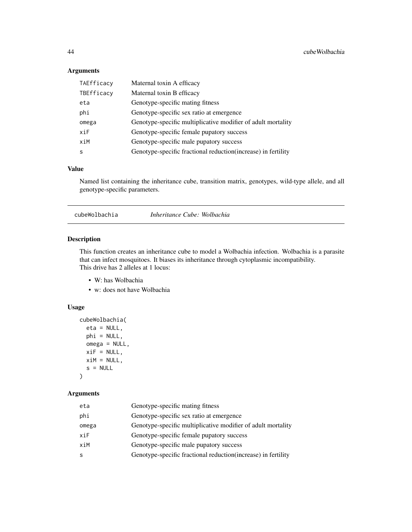## Arguments

| TAEfficacy | Maternal toxin A efficacy                                      |  |
|------------|----------------------------------------------------------------|--|
| TBEfficacy | Maternal toxin B efficacy                                      |  |
| eta        | Genotype-specific mating fitness                               |  |
| phi        | Genotype-specific sex ratio at emergence                       |  |
| omega      | Genotype-specific multiplicative modifier of adult mortality   |  |
| xiF        | Genotype-specific female pupatory success                      |  |
| xiM        | Genotype-specific male pupatory success                        |  |
| S          | Genotype-specific fractional reduction (increase) in fertility |  |

## Value

Named list containing the inheritance cube, transition matrix, genotypes, wild-type allele, and all genotype-specific parameters.

<span id="page-43-0"></span>cubeWolbachia *Inheritance Cube: Wolbachia*

#### Description

This function creates an inheritance cube to model a Wolbachia infection. Wolbachia is a parasite that can infect mosquitoes. It biases its inheritance through cytoplasmic incompatibility. This drive has 2 alleles at 1 locus:

- W: has Wolbachia
- w: does not have Wolbachia

### Usage

```
cubeWolbachia(
  eta = NULL,phi = NULL,
  omega = NULL,
  xif = NULL,xiM = NULL,
  s = NULL\mathcal{L}
```
### Arguments

| eta   | Genotype-specific mating fitness                               |  |
|-------|----------------------------------------------------------------|--|
| phi   | Genotype-specific sex ratio at emergence                       |  |
| omega | Genotype-specific multiplicative modifier of adult mortality   |  |
| xiF   | Genotype-specific female pupatory success                      |  |
| xiM   | Genotype-specific male pupatory success                        |  |
| -S    | Genotype-specific fractional reduction (increase) in fertility |  |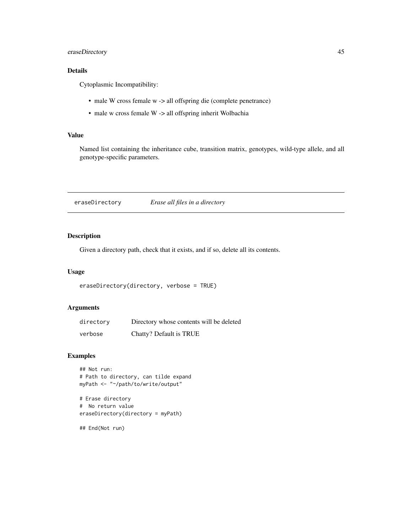## eraseDirectory 45

# Details

Cytoplasmic Incompatibility:

- male W cross female w -> all offspring die (complete penetrance)
- male w cross female W -> all offspring inherit Wolbachia

### Value

Named list containing the inheritance cube, transition matrix, genotypes, wild-type allele, and all genotype-specific parameters.

eraseDirectory *Erase all files in a directory*

### Description

Given a directory path, check that it exists, and if so, delete all its contents.

### Usage

```
eraseDirectory(directory, verbose = TRUE)
```
### Arguments

| directory | Directory whose contents will be deleted |
|-----------|------------------------------------------|
| verbose   | Chatty? Default is TRUE                  |

### Examples

```
## Not run:
# Path to directory, can tilde expand
myPath <- "~/path/to/write/output"
```

```
# Erase directory
# No return value
eraseDirectory(directory = myPath)
```
## End(Not run)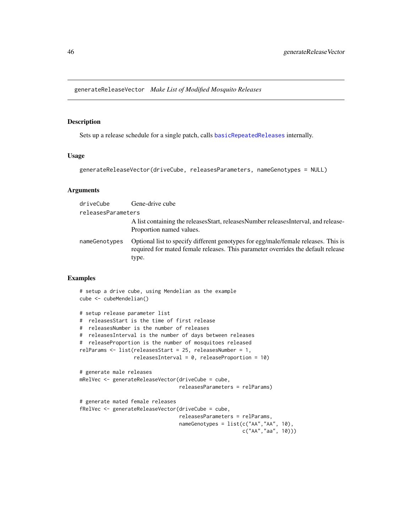<span id="page-45-0"></span>generateReleaseVector *Make List of Modified Mosquito Releases*

### Description

Sets up a release schedule for a single patch, calls [basicRepeatedReleases](#page-6-0) internally.

#### Usage

```
generateReleaseVector(driveCube, releasesParameters, nameGenotypes = NULL)
```
### Arguments

| driveCube          | Gene-drive cube                                                                                                                                                                 |
|--------------------|---------------------------------------------------------------------------------------------------------------------------------------------------------------------------------|
| releasesParameters |                                                                                                                                                                                 |
|                    | A list containing the releases Start, releases Number releases Interval, and release-<br>Proportion named values.                                                               |
| nameGenotypes      | Optional list to specify different genotypes for egg/male/female releases. This is<br>required for mated female releases. This parameter overrides the default release<br>type. |

#### Examples

```
# setup a drive cube, using Mendelian as the example
cube <- cubeMendelian()
# setup release parameter list
# releasesStart is the time of first release
# releasesNumber is the number of releases
# releasesInterval is the number of days between releases
# releaseProportion is the number of mosquitoes released
relParams <- list(releasesStart = 25, releasesNumber = 1,
                  relæesInterval = 0, relæaseProportion = 10# generate male releases
mRelVec <- generateReleaseVector(driveCube = cube,
                                releasesParameters = relParams)
# generate mated female releases
fRelVec <- generateReleaseVector(driveCube = cube,
                                 releasesParameters = relParams,
                                nameGenotypes = list(c("AA", "AA", 10),c("AA","aa", 10)))
```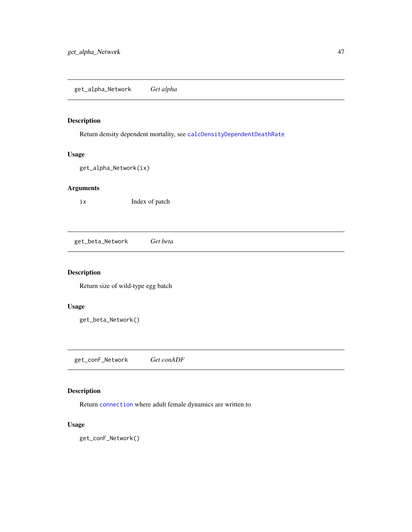## <span id="page-46-1"></span>Description

Return density dependent mortality, see [calcDensityDependentDeathRate](#page-9-0)

## Usage

get\_alpha\_Network(ix)

# Arguments

ix Index of patch

<span id="page-46-0"></span>get\_beta\_Network *Get beta*

## Description

Return size of wild-type egg batch

### Usage

get\_beta\_Network()

<span id="page-46-2"></span>get\_conF\_Network *Get conADF*

## Description

Return [connection](#page-0-0) where adult female dynamics are written to

## Usage

get\_conF\_Network()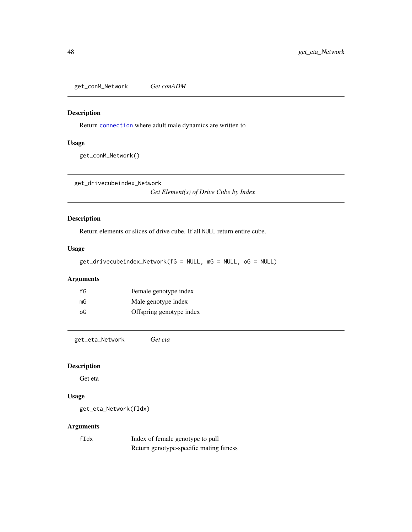<span id="page-47-2"></span>get\_conM\_Network *Get conADM*

### Description

Return [connection](#page-0-0) where adult male dynamics are written to

### Usage

get\_conM\_Network()

<span id="page-47-0"></span>get\_drivecubeindex\_Network

*Get Element(s) of Drive Cube by Index*

# Description

Return elements or slices of drive cube. If all NULL return entire cube.

### Usage

get\_drivecubeindex\_Network(fG = NULL, mG = NULL, oG = NULL)

## Arguments

| fG | Female genotype index    |
|----|--------------------------|
| mG | Male genotype index      |
| oG | Offspring genotype index |

<span id="page-47-1"></span>get\_eta\_Network *Get eta*

## Description

Get eta

## Usage

get\_eta\_Network(fIdx)

### Arguments

| $f$ Idx | Index of female genotype to pull        |
|---------|-----------------------------------------|
|         | Return genotype-specific mating fitness |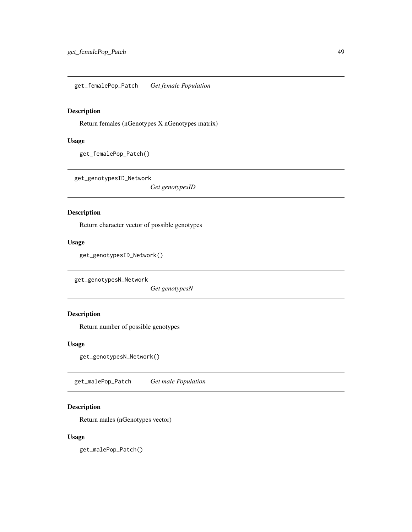get\_femalePop\_Patch *Get female Population*

## Description

Return females (nGenotypes X nGenotypes matrix)

## Usage

```
get_femalePop_Patch()
```
<span id="page-48-0"></span>get\_genotypesID\_Network

*Get genotypesID*

### Description

Return character vector of possible genotypes

### Usage

get\_genotypesID\_Network()

<span id="page-48-1"></span>get\_genotypesN\_Network

*Get genotypesN*

# Description

Return number of possible genotypes

## Usage

get\_genotypesN\_Network()

get\_malePop\_Patch *Get male Population*

### Description

Return males (nGenotypes vector)

### Usage

get\_malePop\_Patch()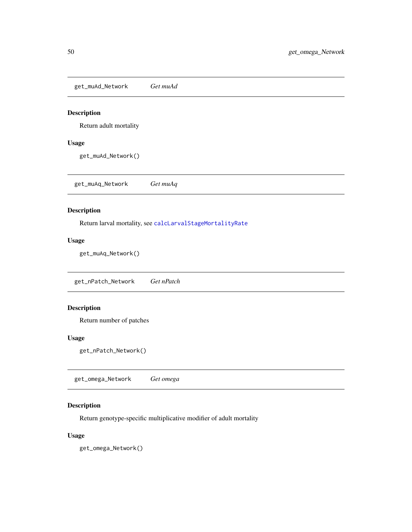<span id="page-49-0"></span>get\_muAd\_Network *Get muAd*

## Description

Return adult mortality

### Usage

get\_muAd\_Network()

<span id="page-49-1"></span>get\_muAq\_Network *Get muAq*

# Description

Return larval mortality, see [calcLarvalStageMortalityRate](#page-14-0)

## Usage

get\_muAq\_Network()

<span id="page-49-3"></span>get\_nPatch\_Network *Get nPatch*

# Description

Return number of patches

### Usage

get\_nPatch\_Network()

<span id="page-49-2"></span>get\_omega\_Network *Get omega*

## Description

Return genotype-specific multiplicative modifier of adult mortality

## Usage

get\_omega\_Network()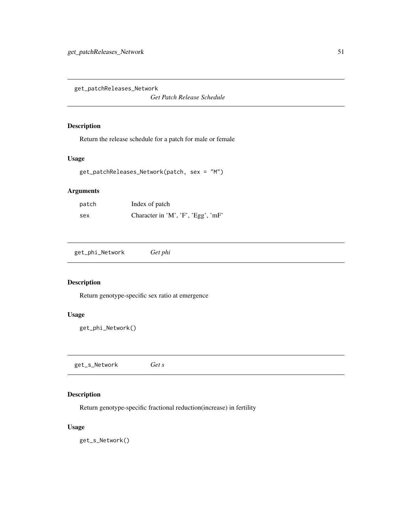<span id="page-50-2"></span>get\_patchReleases\_Network

*Get Patch Release Schedule*

### Description

Return the release schedule for a patch for male or female

## Usage

```
get_patchReleases_Network(patch, sex = "M")
```
# Arguments

| patch | Index of patch                     |
|-------|------------------------------------|
| sex   | Character in 'M', 'F', 'Egg', 'mF' |

<span id="page-50-0"></span>get\_phi\_Network *Get phi*

## Description

Return genotype-specific sex ratio at emergence

## Usage

```
get_phi_Network()
```
<span id="page-50-1"></span>get\_s\_Network *Get s*

## Description

Return genotype-specific fractional reduction(increase) in fertility

### Usage

get\_s\_Network()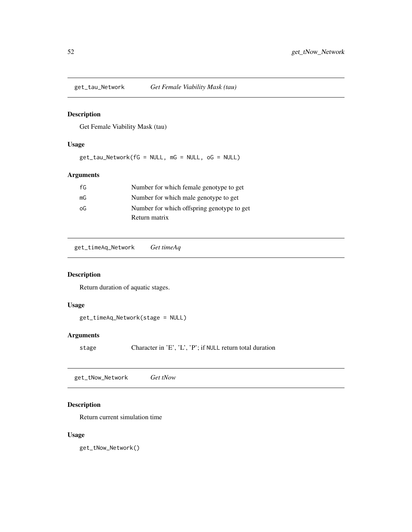<span id="page-51-1"></span>

## Description

Get Female Viability Mask (tau)

## Usage

get\_tau\_Network(fG = NULL, mG = NULL, oG = NULL)

# Arguments

| fG | Number for which female genotype to get    |
|----|--------------------------------------------|
| mG | Number for which male genotype to get      |
| οG | Number for which offspring genotype to get |
|    | Return matrix                              |

<span id="page-51-0"></span>get\_timeAq\_Network *Get timeAq*

## Description

Return duration of aquatic stages.

### Usage

```
get_timeAq_Network(stage = NULL)
```
## Arguments

stage Character in 'E', 'L', 'P'; if NULL return total duration

<span id="page-51-2"></span>get\_tNow\_Network *Get tNow*

### Description

Return current simulation time

## Usage

get\_tNow\_Network()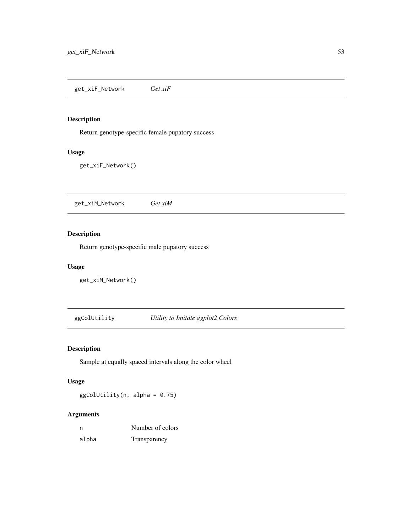<span id="page-52-0"></span>get\_xiF\_Network *Get xiF*

# Description

Return genotype-specific female pupatory success

## Usage

get\_xiF\_Network()

<span id="page-52-1"></span>get\_xiM\_Network *Get xiM*

# Description

Return genotype-specific male pupatory success

### Usage

get\_xiM\_Network()

ggColUtility *Utility to Imitate ggplot2 Colors*

## Description

Sample at equally spaced intervals along the color wheel

## Usage

ggColUtility(n, alpha = 0.75)

# Arguments

| n     | Number of colors |
|-------|------------------|
| alpha | Transparency     |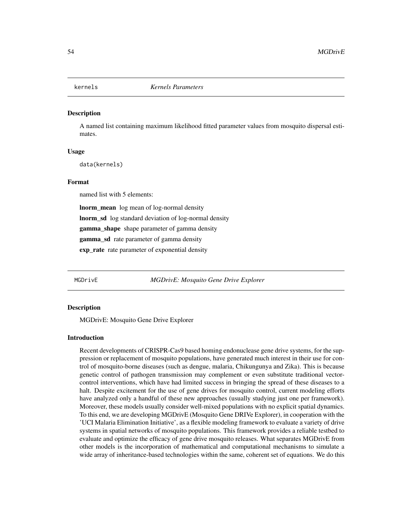#### **Description**

A named list containing maximum likelihood fitted parameter values from mosquito dispersal estimates.

### Usage

data(kernels)

#### Format

named list with 5 elements:

lnorm\_mean log mean of log-normal density lnorm\_sd log standard deviation of log-normal density gamma\_shape shape parameter of gamma density gamma\_sd rate parameter of gamma density exp\_rate rate parameter of exponential density

MGDrivE *MGDrivE: Mosquito Gene Drive Explorer*

#### Description

MGDrivE: Mosquito Gene Drive Explorer

#### Introduction

Recent developments of CRISPR-Cas9 based homing endonuclease gene drive systems, for the suppression or replacement of mosquito populations, have generated much interest in their use for control of mosquito-borne diseases (such as dengue, malaria, Chikungunya and Zika). This is because genetic control of pathogen transmission may complement or even substitute traditional vectorcontrol interventions, which have had limited success in bringing the spread of these diseases to a halt. Despite excitement for the use of gene drives for mosquito control, current modeling efforts have analyzed only a handful of these new approaches (usually studying just one per framework). Moreover, these models usually consider well-mixed populations with no explicit spatial dynamics. To this end, we are developing MGDrivE (Mosquito Gene DRIVe Explorer), in cooperation with the 'UCI Malaria Elimination Initiative', as a flexible modeling framework to evaluate a variety of drive systems in spatial networks of mosquito populations. This framework provides a reliable testbed to evaluate and optimize the efficacy of gene drive mosquito releases. What separates MGDrivE from other models is the incorporation of mathematical and computational mechanisms to simulate a wide array of inheritance-based technologies within the same, coherent set of equations. We do this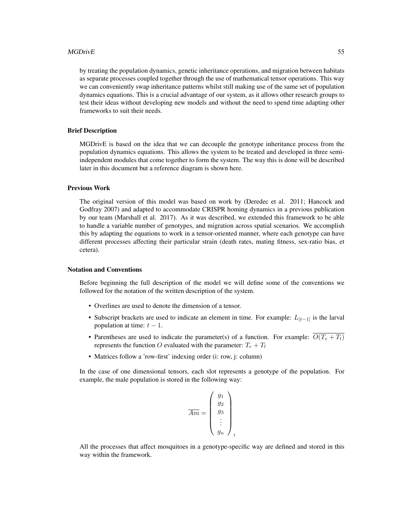### MGDrivE 55

by treating the population dynamics, genetic inheritance operations, and migration between habitats as separate processes coupled together through the use of mathematical tensor operations. This way we can conveniently swap inheritance patterns whilst still making use of the same set of population dynamics equations. This is a crucial advantage of our system, as it allows other research groups to test their ideas without developing new models and without the need to spend time adapting other frameworks to suit their needs.

### Brief Description

MGDrivE is based on the idea that we can decouple the genotype inheritance process from the population dynamics equations. This allows the system to be treated and developed in three semiindependent modules that come together to form the system. The way this is done will be described later in this document but a reference diagram is shown here.

### Previous Work

The original version of this model was based on work by (Deredec et al. 2011; Hancock and Godfray 2007) and adapted to accommodate CRISPR homing dynamics in a previous publication by our team (Marshall et al. 2017). As it was described, we extended this framework to be able to handle a variable number of genotypes, and migration across spatial scenarios. We accomplish this by adapting the equations to work in a tensor-oriented manner, where each genotype can have different processes affecting their particular strain (death rates, mating fitness, sex-ratio bias, et cetera).

### Notation and Conventions

Before beginning the full description of the model we will define some of the conventions we followed for the notation of the written description of the system.

- Overlines are used to denote the dimension of a tensor.
- Subscript brackets are used to indicate an element in time. For example:  $L_{[t-1]}$  is the larval population at time:  $t - 1$ .
- Parentheses are used to indicate the parameter(s) of a function. For example:  $\overline{O(T_e+T_l)}$ represents the function O evaluated with the parameter:  $T_e + T_l$
- Matrices follow a 'row-first' indexing order (i: row, j: column)

In the case of one dimensional tensors, each slot represents a genotype of the population. For example, the male population is stored in the following way:

$$
\overline{Am} = \begin{pmatrix} g_1 \\ g_2 \\ g_3 \\ \vdots \\ g_n \end{pmatrix}_i
$$

All the processes that affect mosquitoes in a genotype-specific way are defined and stored in this way within the framework.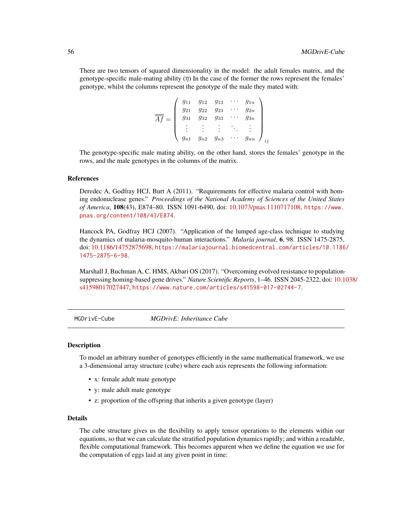There are two tensors of squared dimensionality in the model: the adult females matrix, and the genotype-specific male-mating ability  $(\bar{\eta})$  In the case of the former the rows represent the females' genotype, whilst the columns represent the genotype of the male they mated with:

$$
\overline{\overline{A}\overline{f}} = \begin{pmatrix} g_{11} & g_{12} & g_{13} & \cdots & g_{1n} \\ g_{21} & g_{22} & g_{23} & \cdots & g_{2n} \\ g_{31} & g_{32} & g_{33} & \cdots & g_{3n} \\ \vdots & \vdots & \vdots & \ddots & \vdots \\ g_{n1} & g_{n2} & g_{n3} & \cdots & g_{nn} \end{pmatrix}_{ij}
$$

The genotype-specific male mating ability, on the other hand, stores the females' genotype in the rows, and the male genotypes in the columns of the matrix.

#### References

Deredec A, Godfray HCJ, Burt A (2011). "Requirements for effective malaria control with homing endonuclease genes." *Proceedings of the National Academy of Sciences of the United States of America*, 108(43), E874–80. ISSN 1091-6490, doi: [10.1073/pnas.1110717108,](https://doi.org/10.1073/pnas.1110717108) [https://www.](https://www.pnas.org/content/108/43/E874) [pnas.org/content/108/43/E874](https://www.pnas.org/content/108/43/E874).

Hancock PA, Godfray HCJ (2007). "Application of the lumped age-class technique to studying the dynamics of malaria-mosquito-human interactions." *Malaria journal*, 6, 98. ISSN 1475-2875, doi: [10.1186/14752875698,](https://doi.org/10.1186/1475-2875-6-98) [https://malariajournal.biomedcentral.com/articles/10.1186](https://malariajournal.biomedcentral.com/articles/10.1186/1475-2875-6-98)/ [1475-2875-6-98](https://malariajournal.biomedcentral.com/articles/10.1186/1475-2875-6-98).

Marshall J, Buchman A, C. HMS, Akbari OS (2017). "Overcoming evolved resistance to populationsuppressing homing-based gene drives." *Nature Scientific Reports*, 1–46. ISSN 2045-2322, doi: [10.1](https://doi.org/10.1038/s41598-017-02744-7)038/ [s41598017027447,](https://doi.org/10.1038/s41598-017-02744-7) <https://www.nature.com/articles/s41598-017-02744-7>.

MGDrivE-Cube *MGDrivE: Inheritance Cube*

#### Description

To model an arbitrary number of genotypes efficiently in the same mathematical framework, we use a 3-dimensional array structure (cube) where each axis represents the following information:

- x: female adult mate genotype
- y: male adult mate genotype
- z: proportion of the offspring that inherits a given genotype (layer)

### Details

The cube structure gives us the flexibility to apply tensor operations to the elements within our equations, so that we can calculate the stratified population dynamics rapidly; and within a readable, flexible computational framework. This becomes apparent when we define the equation we use for the computation of eggs laid at any given point in time: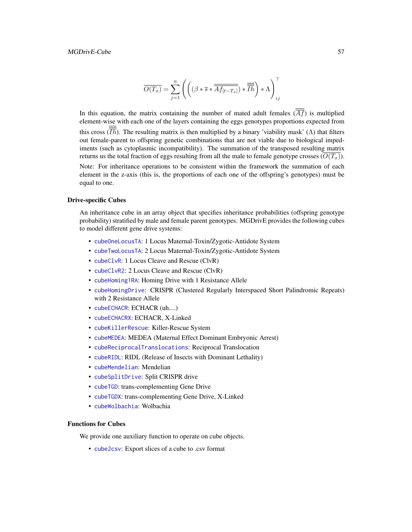$$
\overline{O(T_x)} = \sum_{j=1}^n \left( \left( (\beta * \overline{s} * \overline{\overline{Af_{[t-T_x]}}}) * \overline{\overline{I h}} \right) * \Lambda \right)_{ij}^{\top}
$$

In this equation, the matrix containing the number of mated adult females  $(\overline{Af})$  is multiplied element-wise with each one of the layers containing the eggs genotypes proportions expected from this cross  $(\overline{Ih})$ . The resulting matrix is then multiplied by a binary 'viability mask' ( $\Lambda$ ) that filters out female-parent to offspring genetic combinations that are not viable due to biological impediments (such as cytoplasmic incompatibility). The summation of the transposed resulting matrix returns us the total fraction of eggs resulting from all the male to female genotype crosses  $(O(T_x))$ .

Note: For inheritance operations to be consistent within the framework the summation of each element in the z-axis (this is, the proportions of each one of the offspring's genotypes) must be equal to one.

#### Drive-specific Cubes

An inheritance cube in an array object that specifies inheritance probabilities (offspring genotype probability) stratified by male and female parent genotypes. MGDrivE provides the following cubes to model different gene drive systems:

- [cubeOneLocusTA](#page-34-0): 1 Locus Maternal-Toxin/Zygotic-Antidote System
- [cubeTwoLocusTA](#page-42-0): 2 Locus Maternal-Toxin/Zygotic-Antidote System
- [cubeClvR](#page-21-0): 1 Locus Cleave and Rescue (ClvR)
- [cubeClvR2](#page-22-0): 2 Locus Cleave and Rescue (ClvR)
- [cubeHoming1RA](#page-28-0): Homing Drive with 1 Resistance Allele
- [cubeHomingDrive](#page-29-0): CRISPR (Clustered Regularly Interspaced Short Palindromic Repeats) with 2 Resistance Allele
- [cubeECHACR](#page-24-0): ECHACR (uh....)
- [cubeECHACRX](#page-26-0): ECHACR, X-Linked
- [cubeKillerRescue](#page-30-0): Killer-Rescue System
- [cubeMEDEA](#page-31-0): MEDEA (Maternal Effect Dominant Embryonic Arrest)
- [cubeReciprocalTranslocations](#page-35-0): Reciprocal Translocation
- [cubeRIDL](#page-36-0): RIDL (Release of Insects with Dominant Lethality)
- [cubeMendelian](#page-32-0): Mendelian
- [cubeSplitDrive](#page-37-0): Split CRISPR drive
- [cubeTGD](#page-38-0): trans-complementing Gene Drive
- [cubeTGDX](#page-40-0): trans-complementing Gene Drive, X-Linked
- [cubeWolbachia](#page-43-0): Wolbachia

### Functions for Cubes

We provide one auxiliary function to operate on cube objects.

• [cube2csv](#page-20-0): Export slices of a cube to .csv format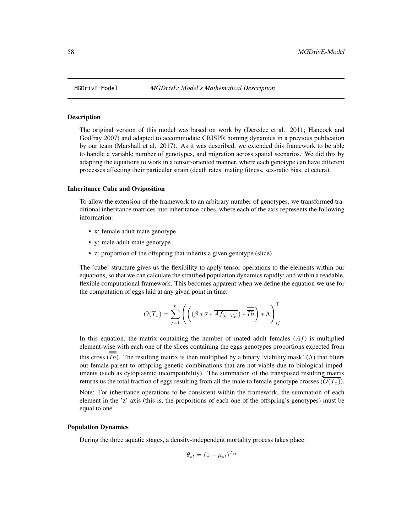### Description

The original version of this model was based on work by (Deredec et al. 2011; Hancock and Godfray 2007) and adapted to accommodate CRISPR homing dynamics in a previous publication by our team (Marshall et al. 2017). As it was described, we extended this framework to be able to handle a variable number of genotypes, and migration across spatial scenarios. We did this by adapting the equations to work in a tensor-oriented manner, where each genotype can have different processes affecting their particular strain (death rates, mating fitness, sex-ratio bias, et cetera).

#### Inheritance Cube and Oviposition

To allow the extension of the framework to an arbitrary number of genotypes, we transformed traditional inheritance matrices into inheritance cubes, where each of the axis represents the following information:

- x: female adult mate genotype
- y: male adult mate genotype
- z: proportion of the offspring that inherits a given genotype (slice)

The 'cube' structure gives us the flexibility to apply tensor operations to the elements within our equations, so that we can calculate the stratified population dynamics rapidly; and within a readable, flexible computational framework. This becomes apparent when we define the equation we use for the computation of eggs laid at any given point in time:

$$
\overline{O(T_x)} = \sum_{j=1}^{n} \left( \left( (\beta * \overline{s} * \overline{\overline{Af_{[t-T_x]}}}) * \overline{\overline{fh}} \right) * \Lambda \right)_{ij}^{\top}
$$

In this equation, the matrix containing the number of mated adult females  $(\overline{\overline{Af}})$  is multiplied element-wise with each one of the slices containing the eggs genotypes proportions expected from this cross  $(\overline{\overline{Ih}})$ . The resulting matrix is then multiplied by a binary 'viability mask' ( $\Lambda$ ) that filters out female-parent to offspring genetic combinations that are not viable due to biological impediments (such as cytoplasmic incompatibility). The summation of the transposed resulting matrix returns us the total fraction of eggs resulting from all the male to female genotype crosses  $(O(T<sub>r</sub>)).$ 

Note: For inheritance operations to be consistent within the framework, the summation of each element in the 'z' axis (this is, the proportions of each one of the offspring's genotypes) must be equal to one.

#### Population Dynamics

During the three aquatic stages, a density-independent mortality process takes place:

$$
\theta_{st} = (1 - \mu_{st})^{T_{st}}
$$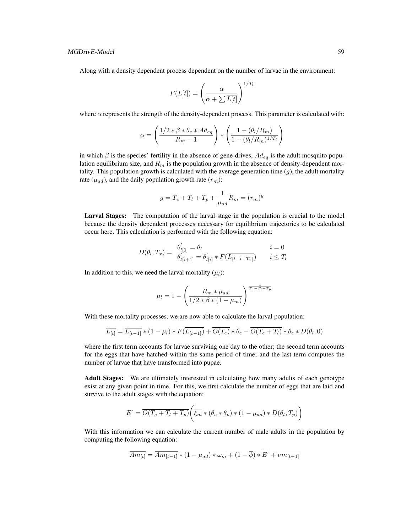Along with a density dependent process dependent on the number of larvae in the environment:

$$
F(L[t]) = \left(\frac{\alpha}{\alpha + \sum \overline{L[t]}}\right)^{1/T_l}
$$

where  $\alpha$  represents the strength of the density-dependent process. This parameter is calculated with:

$$
\alpha = \left(\frac{1/2 \times \beta \times \theta_e \times Ad_{eq}}{R_m - 1}\right) \times \left(\frac{1 - (\theta_l/R_m)}{1 - (\theta_l/R_m)^{1/T_l}}\right)
$$

in which  $\beta$  is the species' fertility in the absence of gene-drives,  $Ad_{eg}$  is the adult mosquito population equilibrium size, and  $R_m$  is the population growth in the absence of density-dependent mortality. This population growth is calculated with the average generation time  $(q)$ , the adult mortality rate ( $\mu_{ad}$ ), and the daily population growth rate ( $r_m$ ):

$$
g = T_e + T_l + T_p + \frac{1}{\mu_{ad}} R_m = (r_m)^g
$$

Larval Stages: The computation of the larval stage in the population is crucial to the model because the density dependent processes necessary for equilibrium trajectories to be calculated occur here. This calculation is performed with the following equation:

$$
D(\theta_l, T_x) = \begin{array}{ll} \theta_{l[0]}' = \theta_l & i = 0\\ \theta_{l[i+1]}' = \theta_{l[i]}' * F(\overline{L_{[t-i-T_x]}}) & i \le T_l \end{array}
$$

In addition to this, we need the larval mortality  $(\mu_l)$ :

$$
\mu_l = 1 - \left(\frac{R_m * \mu_{ad}}{1/2 * \beta * (1 - \mu_m)}\right)^{\frac{1}{T_e + T_l + T_p}}
$$

With these mortality processes, we are now able to calculate the larval population:

$$
\overline{L_{[t]}} = \overline{L_{[t-1]}} * (1 - \mu_l) * F(\overline{L_{[t-1]}}) + \overline{O(T_e)} * \theta_e - \overline{O(T_e + T_l)} * \theta_e * D(\theta_l, 0)
$$

where the first term accounts for larvae surviving one day to the other; the second term accounts for the eggs that have hatched within the same period of time; and the last term computes the number of larvae that have transformed into pupae.

Adult Stages: We are ultimately interested in calculating how many adults of each genotype exist at any given point in time. For this, we first calculate the number of eggs that are laid and survive to the adult stages with the equation:

$$
\overline{E'} = \overline{O(T_e + T_l + T_p)} \left( \overline{\xi_m} * (\theta_e * \theta_p) * (1 - \mu_{ad}) * D(\theta_l, T_p) \right)
$$

With this information we can calculate the current number of male adults in the population by computing the following equation:

$$
\overline{Am_{[t]}} = \overline{Am_{[t-1]}} * (1 - \mu_{ad}) * \overline{\omega_m} + (1 - \overline{\phi}) * \overline{E'} + \overline{\nu m_{[t-1]}}
$$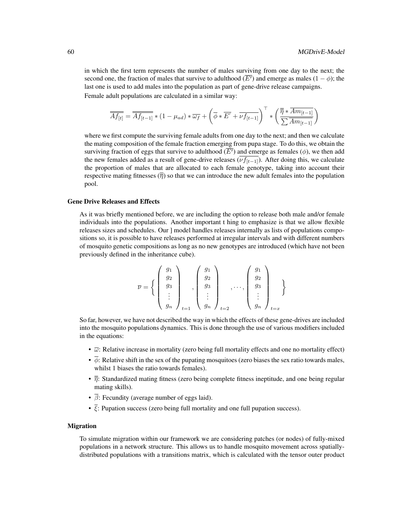in which the first term represents the number of males surviving from one day to the next; the second one, the fraction of males that survive to adulthood  $(\overline{E'})$  and emerge as males  $(1 - \phi)$ ; the last one is used to add males into the population as part of gene-drive release campaigns. Female adult populations are calculated in a similar way:

$$
\overline{\overline{Af_{[t]}}} = \overline{\overline{Af_{[t-1]}}} * (1 - \mu_{ad}) * \overline{\omega_f} + \left(\overline{\phi} * \overline{E'} + \overline{\nu f_{[t-1]}}\right)^\top * \left(\frac{\overline{\overline{\eta}} * \overline{Am_{[t-1]}}}{\sum \overline{Am_{[t-1]}}}\right)
$$

where we first compute the surviving female adults from one day to the next; and then we calculate the mating composition of the female fraction emerging from pupa stage. To do this, we obtain the surviving fraction of eggs that survive to adulthood  $(\overline{E'})$  and emerge as females ( $\phi$ ), we then add the new females added as a result of gene-drive releases  $(\overline{\nu f_{[t-1]}})$ . After doing this, we calculate the proportion of males that are allocated to each female genotype, taking into account their respective mating fitnesses  $(\bar{\overline{\eta}})$  so that we can introduce the new adult females into the population pool.

#### Gene Drive Releases and Effects

As it was briefly mentioned before, we are including the option to release both male and/or female individuals into the populations. Another important t hing to emphasize is that we allow flexible releases sizes and schedules. Our ] model handles releases internally as lists of populations compositions so, it is possible to have releases performed at irregular intervals and with different numbers of mosquito genetic compositions as long as no new genotypes are introduced (which have not been previously defined in the inheritance cube).

$$
\overline{\nu} = \left\{ \begin{pmatrix} g_1 \\ g_2 \\ g_3 \\ \vdots \\ g_n \end{pmatrix}_{t=1}, \begin{pmatrix} g_1 \\ g_2 \\ g_3 \\ \vdots \\ g_n \end{pmatrix}_{t=2}, \dots, \begin{pmatrix} g_1 \\ g_2 \\ g_3 \\ \vdots \\ g_n \end{pmatrix}_{t=x} \right\}
$$

So far, however, we have not described the way in which the effects of these gene-drives are included into the mosquito populations dynamics. This is done through the use of various modifiers included in the equations:

- $\overline{\omega}$ : Relative increase in mortality (zero being full mortality effects and one no mortality effect)
- $\overline{\phi}$ : Relative shift in the sex of the pupating mosquitoes (zero biases the sex ratio towards males, whilst 1 biases the ratio towards females).
- $\overline{\overline{\eta}}$ : Standardized mating fitness (zero being complete fitness ineptitude, and one being regular mating skills).
- $\overline{\beta}$ : Fecundity (average number of eggs laid).
- $\overline{\xi}$ : Pupation success (zero being full mortality and one full pupation success).

#### Migration

To simulate migration within our framework we are considering patches (or nodes) of fully-mixed populations in a network structure. This allows us to handle mosquito movement across spatiallydistributed populations with a transitions matrix, which is calculated with the tensor outer product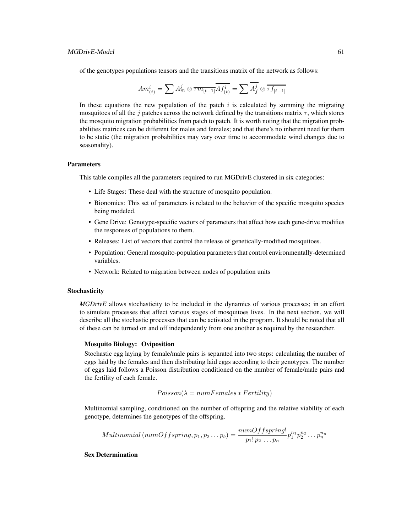of the genotypes populations tensors and the transitions matrix of the network as follows:

$$
\overline{Am^i_{(t)}}=\sum \overline{A^j_m}\otimes \overline{\overline{\tau m_{[t-1]}}}\overline{\overline{A f^i_{(t)}}}=\sum \overline{\overline{A^j_f}}\otimes \overline{\overline{\tau f_{[t-1]}}}
$$

In these equations the new population of the patch  $i$  is calculated by summing the migrating mosquitoes of all the j patches across the network defined by the transitions matrix  $\tau$ , which stores the mosquito migration probabilities from patch to patch. It is worth noting that the migration probabilities matrices can be different for males and females; and that there's no inherent need for them to be static (the migration probabilities may vary over time to accommodate wind changes due to seasonality).

#### **Parameters**

This table compiles all the parameters required to run MGDrivE clustered in six categories:

- Life Stages: These deal with the structure of mosquito population.
- Bionomics: This set of parameters is related to the behavior of the specific mosquito species being modeled.
- Gene Drive: Genotype-specific vectors of parameters that affect how each gene-drive modifies the responses of populations to them.
- Releases: List of vectors that control the release of genetically-modified mosquitoes.
- Population: General mosquito-population parameters that control environmentally-determined variables.
- Network: Related to migration between nodes of population units

#### **Stochasticity**

*MGDrivE* allows stochasticity to be included in the dynamics of various processes; in an effort to simulate processes that affect various stages of mosquitoes lives. In the next section, we will describe all the stochastic processes that can be activated in the program. It should be noted that all of these can be turned on and off independently from one another as required by the researcher.

### Mosquito Biology: Oviposition

Stochastic egg laying by female/male pairs is separated into two steps: calculating the number of eggs laid by the females and then distributing laid eggs according to their genotypes. The number of eggs laid follows a Poisson distribution conditioned on the number of female/male pairs and the fertility of each female.

$$
Poisson(\lambda = numFemales * Fertility)
$$

Multinomial sampling, conditioned on the number of offspring and the relative viability of each genotype, determines the genotypes of the offspring.

Multinomial (numOffspring, 
$$
p_1, p_2...p_b
$$
) =  $\frac{numOffspring!}{p_1! p_2... p_n} p_1^{n_1} p_2^{n_2} ... p_n^{n_n}$ 

### Sex Determination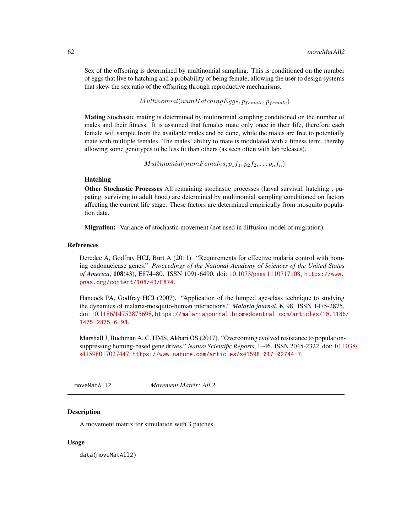Sex of the offspring is determined by multinomial sampling. This is conditioned on the number of eggs that live to hatching and a probability of being female, allowing the user to design systems that skew the sex ratio of the offspring through reproductive mechanisms.

 $Multinomial(numHatchingEggs, p_{female}, p_{female})$ 

Mating Stochastic mating is determined by multinomial sampling conditioned on the number of males and their fitness. It is assumed that females mate only once in their life, therefore each female will sample from the available males and be done, while the males are free to potentially mate with multiple females. The males' ability to mate is modulated with a fitness term, thereby allowing some genotypes to be less fit than others (as seen often with lab releases).

 $Multinomial(numF females, p_1f_1, p_2f_2, \ldots p_nf_n)$ 

## Hatching

Other Stochastic Processes All remaining stochastic processes (larval survival, hatching , pupating, surviving to adult hood) are determined by multinomial sampling conditioned on factors affecting the current life stage. These factors are determined empirically from mosquito population data.

Migration: Variance of stochastic movement (not used in diffusion model of migration).

#### References

Deredec A, Godfray HCJ, Burt A (2011). "Requirements for effective malaria control with homing endonuclease genes." *Proceedings of the National Academy of Sciences of the United States of America*, 108(43), E874–80. ISSN 1091-6490, doi: [10.1073/pnas.1110717108,](https://doi.org/10.1073/pnas.1110717108) [https://www.](https://www.pnas.org/content/108/43/E874) [pnas.org/content/108/43/E874](https://www.pnas.org/content/108/43/E874).

Hancock PA, Godfray HCJ (2007). "Application of the lumped age-class technique to studying the dynamics of malaria-mosquito-human interactions." *Malaria journal*, 6, 98. ISSN 1475-2875, doi: [10.1186/14752875698,](https://doi.org/10.1186/1475-2875-6-98) [https://malariajournal.biomedcentral.com/articles/10.1186](https://malariajournal.biomedcentral.com/articles/10.1186/1475-2875-6-98)/ [1475-2875-6-98](https://malariajournal.biomedcentral.com/articles/10.1186/1475-2875-6-98).

Marshall J, Buchman A, C. HMS, Akbari OS (2017). "Overcoming evolved resistance to populationsuppressing homing-based gene drives." *Nature Scientific Reports*, 1–46. ISSN 2045-2322, doi: [10.1](https://doi.org/10.1038/s41598-017-02744-7)038/ [s41598017027447,](https://doi.org/10.1038/s41598-017-02744-7) <https://www.nature.com/articles/s41598-017-02744-7>.

moveMatAll2 *Movement Matrix: All 2*

### **Description**

A movement matrix for simulation with 3 patches.

#### Usage

data(moveMatAll2)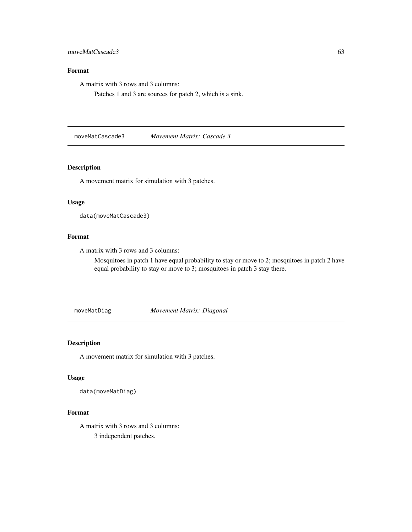### moveMatCascade3 63

# Format

A matrix with 3 rows and 3 columns:

Patches 1 and 3 are sources for patch 2, which is a sink.

moveMatCascade3 *Movement Matrix: Cascade 3*

### Description

A movement matrix for simulation with 3 patches.

### Usage

```
data(moveMatCascade3)
```
# Format

A matrix with 3 rows and 3 columns:

Mosquitoes in patch 1 have equal probability to stay or move to 2; mosquitoes in patch 2 have equal probability to stay or move to 3; mosquitoes in patch 3 stay there.

moveMatDiag *Movement Matrix: Diagonal*

# Description

A movement matrix for simulation with 3 patches.

#### Usage

data(moveMatDiag)

## Format

A matrix with 3 rows and 3 columns: 3 independent patches.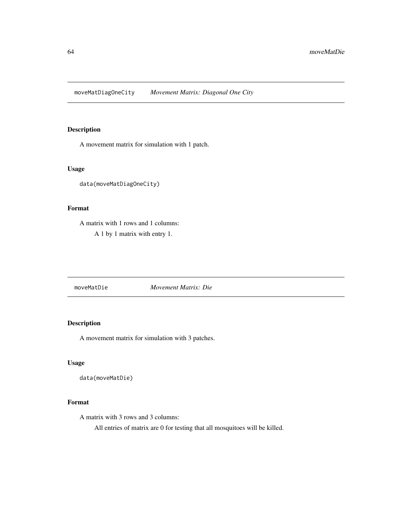moveMatDiagOneCity *Movement Matrix: Diagonal One City*

# Description

A movement matrix for simulation with 1 patch.

## Usage

data(moveMatDiagOneCity)

## Format

A matrix with 1 rows and 1 columns: A 1 by 1 matrix with entry 1.

moveMatDie *Movement Matrix: Die*

## Description

A movement matrix for simulation with 3 patches.

### Usage

data(moveMatDie)

### Format

A matrix with 3 rows and 3 columns:

All entries of matrix are 0 for testing that all mosquitoes will be killed.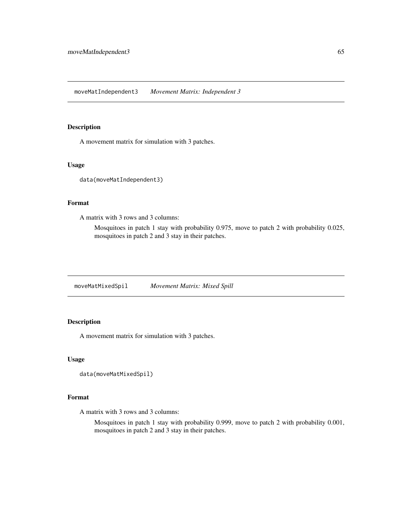### Description

A movement matrix for simulation with 3 patches.

### Usage

```
data(moveMatIndependent3)
```
### Format

A matrix with 3 rows and 3 columns:

Mosquitoes in patch 1 stay with probability 0.975, move to patch 2 with probability 0.025, mosquitoes in patch 2 and 3 stay in their patches.

moveMatMixedSpil *Movement Matrix: Mixed Spill*

# Description

A movement matrix for simulation with 3 patches.

### Usage

```
data(moveMatMixedSpil)
```
### Format

A matrix with 3 rows and 3 columns:

Mosquitoes in patch 1 stay with probability 0.999, move to patch 2 with probability 0.001, mosquitoes in patch 2 and 3 stay in their patches.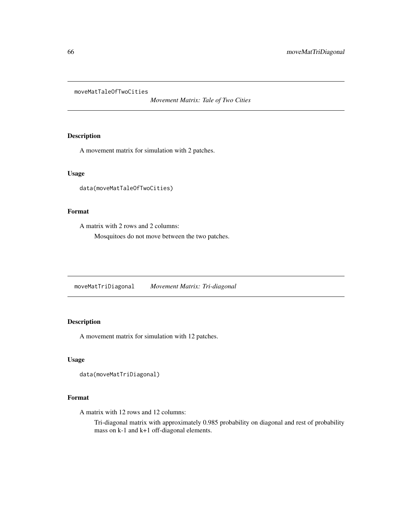moveMatTaleOfTwoCities

*Movement Matrix: Tale of Two Cities*

## Description

A movement matrix for simulation with 2 patches.

## Usage

data(moveMatTaleOfTwoCities)

### Format

A matrix with 2 rows and 2 columns:

Mosquitoes do not move between the two patches.

moveMatTriDiagonal *Movement Matrix: Tri-diagonal*

# Description

A movement matrix for simulation with 12 patches.

### Usage

```
data(moveMatTriDiagonal)
```
### Format

A matrix with 12 rows and 12 columns:

Tri-diagonal matrix with approximately 0.985 probability on diagonal and rest of probability mass on k-1 and k+1 off-diagonal elements.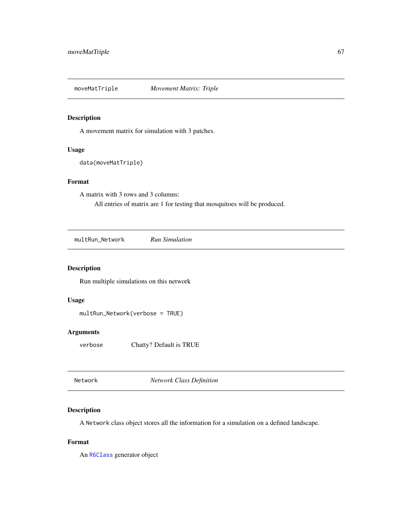moveMatTriple *Movement Matrix: Triple*

## Description

A movement matrix for simulation with 3 patches.

### Usage

data(moveMatTriple)

# Format

A matrix with 3 rows and 3 columns:

All entries of matrix are 1 for testing that mosquitoes will be produced.

<span id="page-66-0"></span>multRun\_Network *Run Simulation*

## Description

Run multiple simulations on this network

### Usage

multRun\_Network(verbose = TRUE)

# Arguments

verbose Chatty? Default is TRUE

<span id="page-66-1"></span>Network *Network Class Definition*

## Description

A Network class object stores all the information for a simulation on a defined landscape.

### Format

An [R6Class](#page-0-0) generator object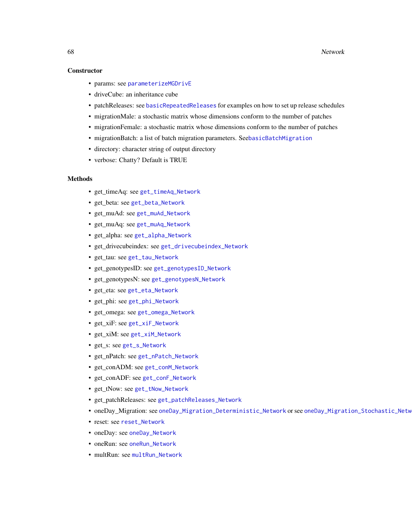### **Constructor**

- params: see [parameterizeMGDrivE](#page-79-0)
- driveCube: an inheritance cube
- patchReleases: see [basicRepeatedReleases](#page-6-0) for examples on how to set up release schedules
- migrationMale: a stochastic matrix whose dimensions conform to the number of patches
- migrationFemale: a stochastic matrix whose dimensions conform to the number of patches
- migrationBatch: a list of batch migration parameters. See[basicBatchMigration](#page-5-0)
- directory: character string of output directory
- verbose: Chatty? Default is TRUE

### Methods

- get\_timeAq: see [get\\_timeAq\\_Network](#page-51-0)
- get\_beta: see [get\\_beta\\_Network](#page-46-0)
- get\_muAd: see [get\\_muAd\\_Network](#page-49-0)
- get\_muAq: see [get\\_muAq\\_Network](#page-49-1)
- get\_alpha: see [get\\_alpha\\_Network](#page-46-1)
- get\_drivecubeindex: see [get\\_drivecubeindex\\_Network](#page-47-0)
- get\_tau: see [get\\_tau\\_Network](#page-51-1)
- get\_genotypesID: see [get\\_genotypesID\\_Network](#page-48-0)
- get\_genotypesN: see [get\\_genotypesN\\_Network](#page-48-1)
- get\_eta: see [get\\_eta\\_Network](#page-47-1)
- get\_phi: see [get\\_phi\\_Network](#page-50-0)
- get\_omega: see [get\\_omega\\_Network](#page-49-2)
- get\_xiF: see [get\\_xiF\\_Network](#page-52-0)
- get\_xiM: see [get\\_xiM\\_Network](#page-52-1)
- get\_s: see [get\\_s\\_Network](#page-50-1)
- get\_nPatch: see [get\\_nPatch\\_Network](#page-49-3)
- get conADM: see [get\\_conM\\_Network](#page-47-2)
- get\_conADF: see [get\\_conF\\_Network](#page-46-2)
- get\_tNow: see [get\\_tNow\\_Network](#page-51-2)
- get\_patchReleases: see [get\\_patchReleases\\_Network](#page-50-2)
- oneDay\_Migration: see [oneDay\\_Migration\\_Deterministic\\_Network](#page-74-0) or see [oneDay\\_Migration\\_Stochastic\\_Network](#page-74-1)
- reset: see [reset\\_Network](#page-85-0)
- oneDay: see [oneDay\\_Network](#page-75-0)
- oneRun: see [oneRun\\_Network](#page-79-1)
- multRun: see [multRun\\_Network](#page-66-0)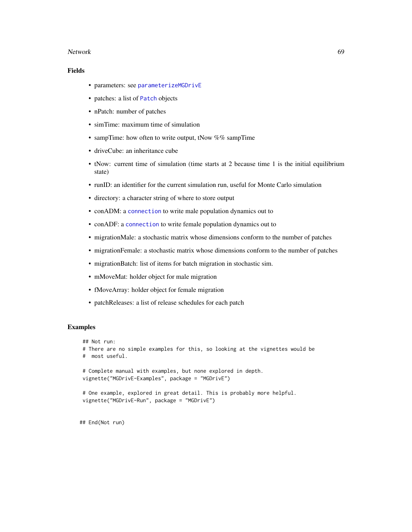#### Network 69

## Fields

- parameters: see [parameterizeMGDrivE](#page-79-0)
- patches: a list of [Patch](#page-80-0) objects
- nPatch: number of patches
- simTime: maximum time of simulation
- sampTime: how often to write output, tNow  $\%$ % sampTime
- driveCube: an inheritance cube
- tNow: current time of simulation (time starts at 2 because time 1 is the initial equilibrium state)
- runID: an identifier for the current simulation run, useful for Monte Carlo simulation
- directory: a character string of where to store output
- conADM: a [connection](#page-0-0) to write male population dynamics out to
- conADF: a [connection](#page-0-0) to write female population dynamics out to
- migrationMale: a stochastic matrix whose dimensions conform to the number of patches
- migrationFemale: a stochastic matrix whose dimensions conform to the number of patches
- migrationBatch: list of items for batch migration in stochastic sim.
- mMoveMat: holder object for male migration
- fMoveArray: holder object for female migration
- patchReleases: a list of release schedules for each patch

#### Examples

```
## Not run:
# There are no simple examples for this, so looking at the vignettes would be
# most useful.
# Complete manual with examples, but none explored in depth.
vignette("MGDrivE-Examples", package = "MGDrivE")
# One example, explored in great detail. This is probably more helpful.
vignette("MGDrivE-Run", package = "MGDrivE")
```
## End(Not run)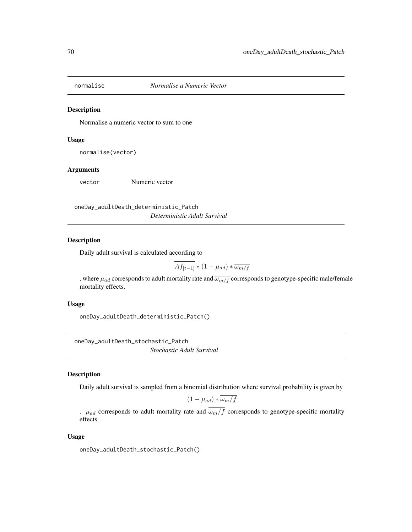### Description

Normalise a numeric vector to sum to one

### Usage

normalise(vector)

### Arguments

vector Numeric vector

oneDay\_adultDeath\_deterministic\_Patch *Deterministic Adult Survival*

## Description

Daily adult survival is calculated according to

$$
\overline{\overline{Af_{[t-1]}}}*(1-\mu_{ad})*\overline{\omega_{m/f}}
$$

, where  $\mu_{ad}$  corresponds to adult mortality rate and  $\overline{\omega_{m/f}}$  corresponds to genotype-specific male/female mortality effects.

### Usage

oneDay\_adultDeath\_deterministic\_Patch()

oneDay\_adultDeath\_stochastic\_Patch *Stochastic Adult Survival*

### Description

Daily adult survival is sampled from a binomial distribution where survival probability is given by

$$
(1 - \mu_{ad}) * \omega_m / f
$$

.  $\mu_{ad}$  corresponds to adult mortality rate and  $\overline{\omega_m/f}$  corresponds to genotype-specific mortality effects.

### Usage

oneDay\_adultDeath\_stochastic\_Patch()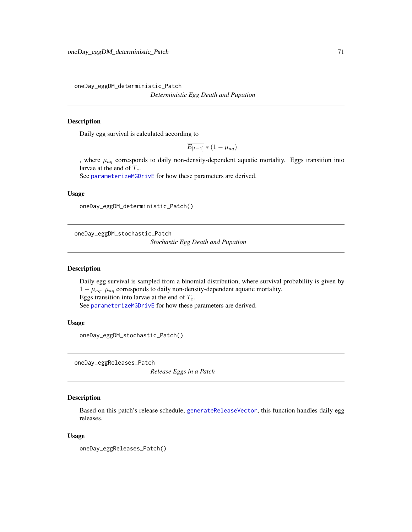oneDay\_eggDM\_deterministic\_Patch

# *Deterministic Egg Death and Pupation*

## Description

Daily egg survival is calculated according to

 $\overline{E_{[t-1]}} * (1 - \mu_{aa})$ 

, where  $\mu_{aq}$  corresponds to daily non-density-dependent aquatic mortality. Eggs transition into larvae at the end of  $T_e$ .

See [parameterizeMGDrivE](#page-79-0) for how these parameters are derived.

### Usage

```
oneDay_eggDM_deterministic_Patch()
```
oneDay\_eggDM\_stochastic\_Patch *Stochastic Egg Death and Pupation*

#### Description

Daily egg survival is sampled from a binomial distribution, where survival probability is given by  $1 - \mu_{aq}$ .  $\mu_{aq}$  corresponds to daily non-density-dependent aquatic mortality. Eggs transition into larvae at the end of  $T_e$ . See [parameterizeMGDrivE](#page-79-0) for how these parameters are derived.

### Usage

oneDay\_eggDM\_stochastic\_Patch()

oneDay\_eggReleases\_Patch

*Release Eggs in a Patch*

### Description

Based on this patch's release schedule, [generateReleaseVector](#page-45-0), this function handles daily egg releases.

### Usage

oneDay\_eggReleases\_Patch()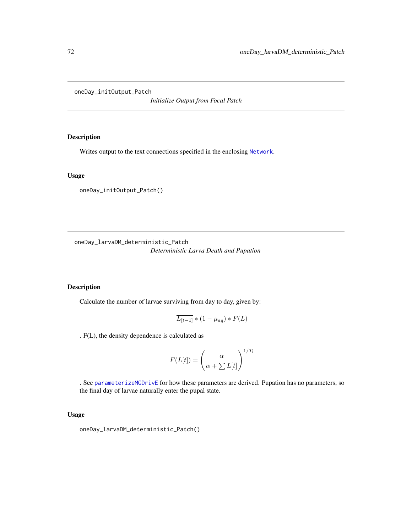oneDay\_initOutput\_Patch

*Initialize Output from Focal Patch*

## Description

Writes output to the text connections specified in the enclosing [Network](#page-66-1).

### Usage

oneDay\_initOutput\_Patch()

oneDay\_larvaDM\_deterministic\_Patch *Deterministic Larva Death and Pupation*

## Description

Calculate the number of larvae surviving from day to day, given by:

$$
\overline{L_{[t-1]}} * (1 - \mu_{aq}) * F(L)
$$

. F(L), the density dependence is calculated as

$$
F(L[t]) = \left(\frac{\alpha}{\alpha + \sum \overline{L[t]}}\right)^{1/T_l}
$$

. See [parameterizeMGDrivE](#page-79-0) for how these parameters are derived. Pupation has no parameters, so the final day of larvae naturally enter the pupal state.

### Usage

oneDay\_larvaDM\_deterministic\_Patch()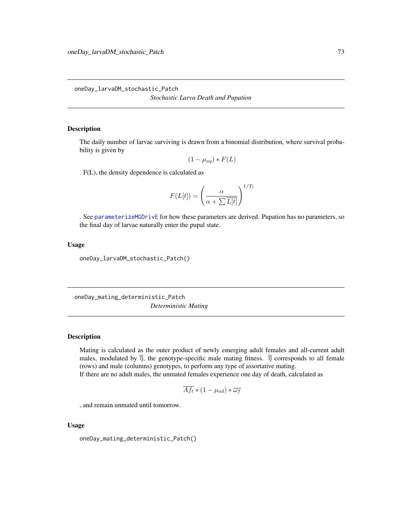<span id="page-72-2"></span><span id="page-72-0"></span>oneDay\_larvaDM\_stochastic\_Patch *Stochastic Larva Death and Pupation*

# Description

The daily number of larvae surviving is drawn from a binomial distribution, where survival probability is given by

$$
(1 - \mu_{aq}) * F(L)
$$

. F(L), the density dependence is calculated as

$$
F(L[t]) = \left(\frac{\alpha}{\alpha + \sum \overline{L[t]}}\right)^{1/T_l}
$$

. See [parameterizeMGDrivE](#page-79-0) for how these parameters are derived. Pupation has no parameters, so the final day of larvae naturally enter the pupal state.

## Usage

oneDay\_larvaDM\_stochastic\_Patch()

<span id="page-72-1"></span>oneDay\_mating\_deterministic\_Patch *Deterministic Mating*

## Description

Mating is calculated as the outer product of newly emerging adult females and all-current adult males, modulated by  $\overline{\overline{\eta}}$ , the genotype-specific male mating fitness.  $\overline{\overline{\eta}}$  corresponds to all female (rows) and male (columns) genotypes, to perform any type of assortative mating. If there are no adult males, the unmated females experience one day of death, calculated as

$$
\overline{Af_t} * (1 - \mu_{ad}) * \overline{\omega_f}
$$

, and remain unmated until tomorrow.

#### Usage

oneDay\_mating\_deterministic\_Patch()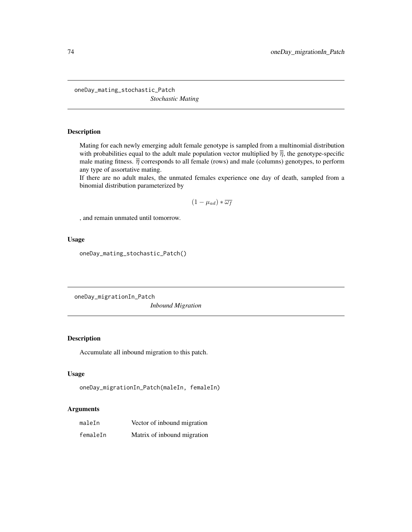<span id="page-73-2"></span><span id="page-73-0"></span>oneDay\_mating\_stochastic\_Patch *Stochastic Mating*

# Description

Mating for each newly emerging adult female genotype is sampled from a multinomial distribution with probabilities equal to the adult male population vector multiplied by  $\overline{\overline{\eta}}$ , the genotype-specific male mating fitness.  $\overline{\overline{\eta}}$  corresponds to all female (rows) and male (columns) genotypes, to perform any type of assortative mating.

If there are no adult males, the unmated females experience one day of death, sampled from a binomial distribution parameterized by

$$
(1 - \mu_{ad}) * \overline{\omega_f}
$$

, and remain unmated until tomorrow.

#### Usage

oneDay\_mating\_stochastic\_Patch()

<span id="page-73-1"></span>oneDay\_migrationIn\_Patch

*Inbound Migration*

# Description

Accumulate all inbound migration to this patch.

# Usage

```
oneDay_migrationIn_Patch(maleIn, femaleIn)
```

| maleIn   | Vector of inbound migration |
|----------|-----------------------------|
| femaleIn | Matrix of inbound migration |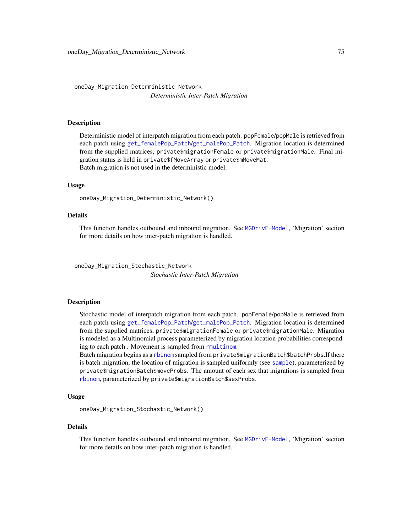<span id="page-74-0"></span>oneDay\_Migration\_Deterministic\_Network *Deterministic Inter-Patch Migration*

#### **Description**

Deterministic model of interpatch migration from each patch. popFemale/popMale is retrieved from each patch using [get\\_femalePop\\_Patch](#page-48-0)/[get\\_malePop\\_Patch](#page-48-1). Migration location is determined from the supplied matrices, private\$migrationFemale or private\$migrationMale. Final migration status is held in private\$fMoveArray or private\$mMoveMat. Batch migration is not used in the deterministic model.

#### Usage

oneDay\_Migration\_Deterministic\_Network()

# Details

This function handles outbound and inbound migration. See [MGDrivE-Model](#page-57-0), 'Migration' section for more details on how inter-patch migration is handled.

oneDay\_Migration\_Stochastic\_Network *Stochastic Inter-Patch Migration*

#### **Description**

Stochastic model of interpatch migration from each patch. popFemale/popMale is retrieved from each patch using [get\\_femalePop\\_Patch](#page-48-0)/[get\\_malePop\\_Patch](#page-48-1). Migration location is determined from the supplied matrices, private\$migrationFemale or private\$migrationMale. Migration is modeled as a Multinomial process parameterized by migration location probabilities corresponding to each patch . Movement is sampled from [rmultinom](#page-0-0).

Batch migration begins as a [rbinom](#page-0-0) sampled from private\$migrationBatch\$batchProbs.If there is batch migration, the location of migration is sampled uniformly (see [sample](#page-0-0)), parameterized by private\$migrationBatch\$moveProbs. The amount of each sex that migrations is sampled from [rbinom](#page-0-0), parameterized by private\$migrationBatch\$sexProbs.

#### Usage

oneDay\_Migration\_Stochastic\_Network()

#### Details

This function handles outbound and inbound migration. See [MGDrivE-Model](#page-57-0), 'Migration' section for more details on how inter-patch migration is handled.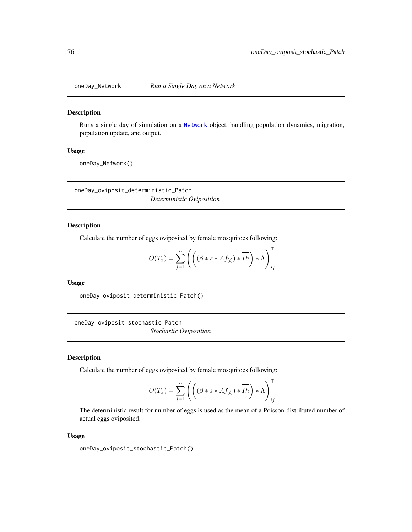<span id="page-75-2"></span>

#### Description

Runs a single day of simulation on a [Network](#page-66-0) object, handling population dynamics, migration, population update, and output.

#### Usage

oneDay\_Network()

<span id="page-75-0"></span>oneDay\_oviposit\_deterministic\_Patch *Deterministic Oviposition*

# Description

Calculate the number of eggs oviposited by female mosquitoes following:

$$
\overline{O(T_x)} = \sum_{j=1}^{n} \left( \left( (\beta * \overline{s} * \overline{\overline{Af_{[t]}}}) * \overline{\overline{Ih}} \right) * \Lambda \right)_{ij}^{\top}
$$

#### Usage

oneDay\_oviposit\_deterministic\_Patch()

<span id="page-75-1"></span>oneDay\_oviposit\_stochastic\_Patch *Stochastic Oviposition*

# Description

Calculate the number of eggs oviposited by female mosquitoes following:

$$
\overline{O(T_x)} = \sum_{j=1}^{n} \left( \left( (\beta * \overline{s} * \overline{\overline{Af_{[t]}}}) * \overline{\overline{\overline{Ih}}} \right) * \Lambda \right)_{ij}^{\top}
$$

The deterministic result for number of eggs is used as the mean of a Poisson-distributed number of actual eggs oviposited.

#### Usage

oneDay\_oviposit\_stochastic\_Patch()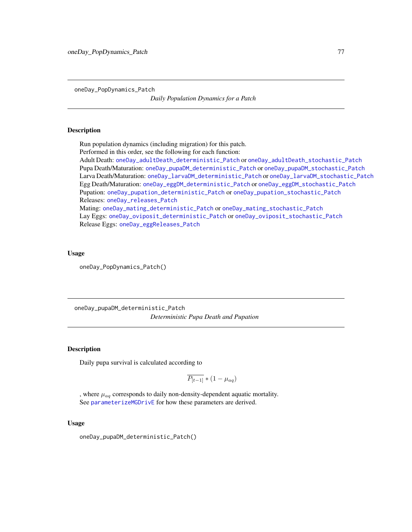<span id="page-76-2"></span><span id="page-76-1"></span>oneDay\_PopDynamics\_Patch

*Daily Population Dynamics for a Patch*

#### Description

Run population dynamics (including migration) for this patch. Performed in this order, see the following for each function:

Adult Death: [oneDay\\_adultDeath\\_deterministic\\_Patch](#page-69-0) or [oneDay\\_adultDeath\\_stochastic\\_Patch](#page-69-1) Pupa Death/Maturation: [oneDay\\_pupaDM\\_deterministic\\_Patch](#page-76-0) or [oneDay\\_pupaDM\\_stochastic\\_Patch](#page-77-0) Larva Death/Maturation: [oneDay\\_larvaDM\\_deterministic\\_Patch](#page-71-0) or [oneDay\\_larvaDM\\_stochastic\\_Patch](#page-72-0) Egg Death/Maturation: [oneDay\\_eggDM\\_deterministic\\_Patch](#page-70-0) or [oneDay\\_eggDM\\_stochastic\\_Patch](#page-70-1) Pupation: [oneDay\\_pupation\\_deterministic\\_Patch](#page-77-1) or [oneDay\\_pupation\\_stochastic\\_Patch](#page-78-0) Releases: [oneDay\\_releases\\_Patch](#page-78-1) Mating: [oneDay\\_mating\\_deterministic\\_Patch](#page-72-1) or [oneDay\\_mating\\_stochastic\\_Patch](#page-73-0) Lay Eggs: [oneDay\\_oviposit\\_deterministic\\_Patch](#page-75-0) or [oneDay\\_oviposit\\_stochastic\\_Patch](#page-75-1) Release Eggs: [oneDay\\_eggReleases\\_Patch](#page-70-2)

#### Usage

oneDay\_PopDynamics\_Patch()

<span id="page-76-0"></span>oneDay\_pupaDM\_deterministic\_Patch *Deterministic Pupa Death and Pupation*

# **Description**

Daily pupa survival is calculated according to

$$
\overline{P_{[t-1]}} * (1 - \mu_{aq})
$$

, where  $\mu_{aq}$  corresponds to daily non-density-dependent aquatic mortality. See [parameterizeMGDrivE](#page-79-0) for how these parameters are derived.

#### Usage

oneDay\_pupaDM\_deterministic\_Patch()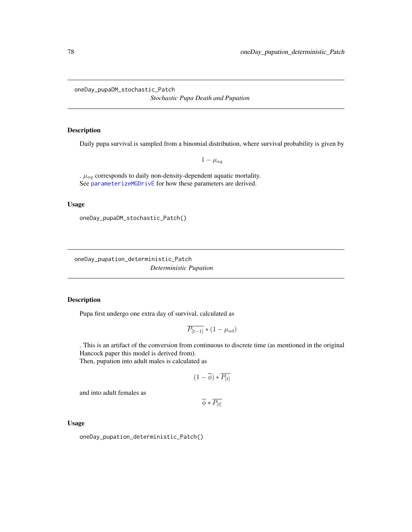<span id="page-77-2"></span><span id="page-77-0"></span>oneDay\_pupaDM\_stochastic\_Patch *Stochastic Pupa Death and Pupation*

# Description

Daily pupa survival is sampled from a binomial distribution, where survival probability is given by

 $1 - \mu_{aq}$ 

.  $\mu_{aq}$  corresponds to daily non-density-dependent aquatic mortality. See [parameterizeMGDrivE](#page-79-0) for how these parameters are derived.

# Usage

oneDay\_pupaDM\_stochastic\_Patch()

<span id="page-77-1"></span>oneDay\_pupation\_deterministic\_Patch *Deterministic Pupation*

# Description

Pupa first undergo one extra day of survival, calculated as

$$
\overline{P_{[t-1]}} * (1 - \mu_{ad})
$$

. This is an artifact of the conversion from continuous to discrete time (as mentioned in the original Hancock paper this model is derived from). Then, pupation into adult males is calculated as

$$
(1-\overline{\phi}) * \overline{P_{[t]}}
$$

and into adult females as

 $\overline{\phi}*\overline{P_{[t]}}$ 

Usage

oneDay\_pupation\_deterministic\_Patch()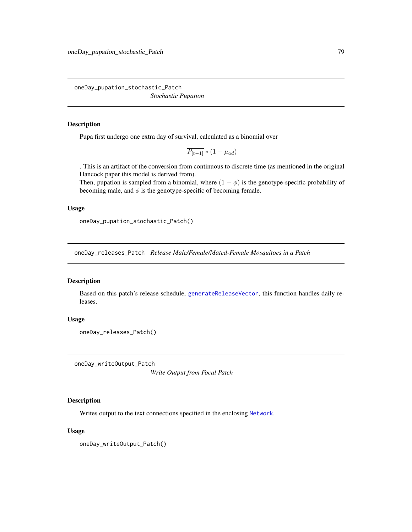<span id="page-78-3"></span><span id="page-78-0"></span>oneDay\_pupation\_stochastic\_Patch *Stochastic Pupation*

#### Description

Pupa first undergo one extra day of survival, calculated as a binomial over

$$
\overline{P_{[t-1]}} * (1 - \mu_{ad})
$$

. This is an artifact of the conversion from continuous to discrete time (as mentioned in the original Hancock paper this model is derived from).

Then, pupation is sampled from a binomial, where  $(1 - \overline{\phi})$  is the genotype-specific probability of becoming male, and  $\overline{\phi}$  is the genotype-specific of becoming female.

#### Usage

oneDay\_pupation\_stochastic\_Patch()

<span id="page-78-1"></span>oneDay\_releases\_Patch *Release Male/Female/Mated-Female Mosquitoes in a Patch*

# Description

Based on this patch's release schedule, [generateReleaseVector](#page-45-0), this function handles daily releases.

# Usage

```
oneDay_releases_Patch()
```
<span id="page-78-2"></span>oneDay\_writeOutput\_Patch

*Write Output from Focal Patch*

# Description

Writes output to the text connections specified in the enclosing [Network](#page-66-0).

# Usage

oneDay\_writeOutput\_Patch()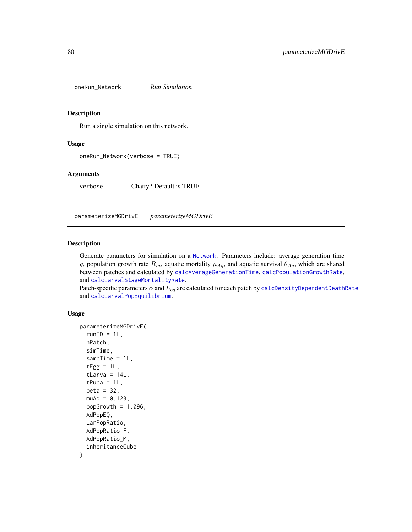<span id="page-79-2"></span><span id="page-79-1"></span>oneRun\_Network *Run Simulation*

#### Description

Run a single simulation on this network.

#### Usage

oneRun\_Network(verbose = TRUE)

# Arguments

verbose Chatty? Default is TRUE

<span id="page-79-0"></span>parameterizeMGDrivE *parameterizeMGDrivE*

# Description

Generate parameters for simulation on a [Network](#page-66-0). Parameters include: average generation time g, population growth rate  $R_m$ , aquatic mortality  $\mu_{Aq}$ , and aquatic survival  $\theta_{Aq}$ , which are shared between patches and calculated by [calcAverageGenerationTime](#page-8-0), [calcPopulationGrowthRate](#page-16-0), and [calcLarvalStageMortalityRate](#page-14-0).

Patch-specific parameters  $\alpha$  and  $L_{eq}$  are calculated for each patch by [calcDensityDependentDeathRate](#page-9-0) and [calcLarvalPopEquilibrium](#page-13-0).

#### Usage

```
parameterizeMGDrivE(
  runID = 1L,nPatch,
  simTime,
  sample = 1L,tEgg = 1L,
  tLarva = 14L,
  tPupa = 1L,
  beta = 32,
  muAd = 0.123,
 popGrowth = 1.096,AdPopEQ,
 LarPopRatio,
  AdPopRatio_F,
  AdPopRatio_M,
  inheritanceCube
)
```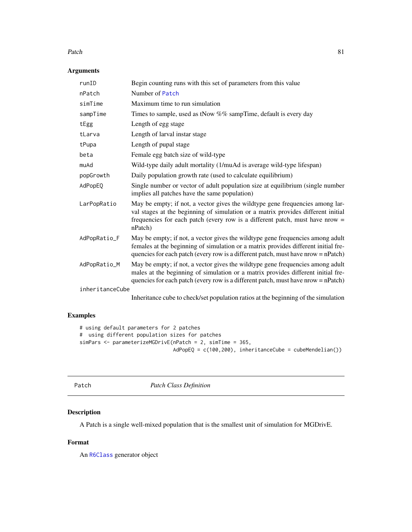#### <span id="page-80-1"></span> $P$ atch  $\overline{81}$

# Arguments

| runID           | Begin counting runs with this set of parameters from this value                                                                                                                                                                                                |
|-----------------|----------------------------------------------------------------------------------------------------------------------------------------------------------------------------------------------------------------------------------------------------------------|
| nPatch          | Number of Patch                                                                                                                                                                                                                                                |
| simTime         | Maximum time to run simulation                                                                                                                                                                                                                                 |
| sampTime        | Times to sample, used as tNow %% sampTime, default is every day                                                                                                                                                                                                |
| tEgg            | Length of egg stage                                                                                                                                                                                                                                            |
| tLarva          | Length of larval instar stage                                                                                                                                                                                                                                  |
| tPupa           | Length of pupal stage                                                                                                                                                                                                                                          |
| beta            | Female egg batch size of wild-type                                                                                                                                                                                                                             |
| muAd            | Wild-type daily adult mortality (1/muAd is average wild-type lifespan)                                                                                                                                                                                         |
| popGrowth       | Daily population growth rate (used to calculate equilibrium)                                                                                                                                                                                                   |
| AdPopEQ         | Single number or vector of adult population size at equilibrium (single number<br>implies all patches have the same population)                                                                                                                                |
| LarPopRatio     | May be empty; if not, a vector gives the wildtype gene frequencies among lar-<br>val stages at the beginning of simulation or a matrix provides different initial<br>frequencies for each patch (every row is a different patch, must have nrow $=$<br>nPatch) |
| AdPopRatio_F    | May be empty; if not, a vector gives the wildtype gene frequencies among adult<br>females at the beginning of simulation or a matrix provides different initial fre-<br>quencies for each patch (every row is a different patch, must have nrow = nPatch)      |
| AdPopRatio_M    | May be empty; if not, a vector gives the wildtype gene frequencies among adult<br>males at the beginning of simulation or a matrix provides different initial fre-<br>quencies for each patch (every row is a different patch, must have nrow = nPatch)        |
| inheritanceCube |                                                                                                                                                                                                                                                                |
|                 | The following the contract of the compact of the contract of the function of $\mathcal{C}$ and $\mathcal{C}$ the contract of                                                                                                                                   |

Inheritance cube to check/set population ratios at the beginning of the simulation

# Examples

```
# using default parameters for 2 patches
# using different population sizes for patches
simPars <- parameterizeMGDrivE(nPatch = 2, simTime = 365,
                               AdPopEQ = c(100,200), inheritanceCube = cubeMendelian())
```
<span id="page-80-0"></span>

Patch *Patch Class Definition*

# Description

A Patch is a single well-mixed population that is the smallest unit of simulation for MGDrivE.

# Format

An [R6Class](#page-0-0) generator object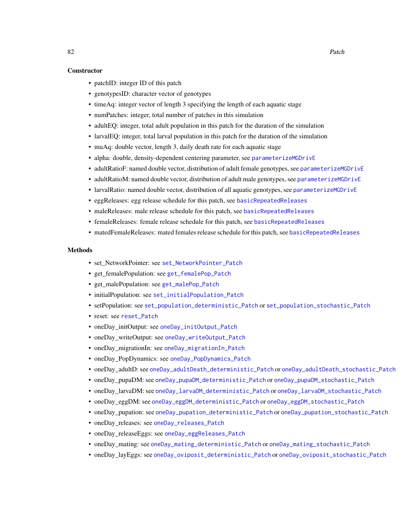#### <span id="page-81-0"></span>**Constructor**

- patchID: integer ID of this patch
- genotypesID: character vector of genotypes
- timeAq: integer vector of length 3 specifying the length of each aquatic stage
- numPatches: integer, total number of patches in this simulation
- adultEQ: integer, total adult population in this patch for the duration of the simulation
- larvalEQ: integer, total larval population in this patch for the duration of the simulation
- muAq: double vector, length 3, daily death rate for each aquatic stage
- alpha: double, density-dependent centering parameter, see [parameterizeMGDrivE](#page-79-0)
- adultRatioF: named double vector, distribution of adult female genotypes, see [parameterizeMGDrivE](#page-79-0)
- adultRatioM: named double vector, distribution of adult male genotypes, see [parameterizeMGDrivE](#page-79-0)
- larvalRatio: named double vector, distribution of all aquatic genotypes, see [parameterizeMGDrivE](#page-79-0)
- eggReleases: egg release schedule for this patch, see [basicRepeatedReleases](#page-6-0)
- maleReleases: male release schedule for this patch, see [basicRepeatedReleases](#page-6-0)
- femaleReleases: female release schedule for this patch, see [basicRepeatedReleases](#page-6-0)
- matedFemaleReleases: mated females release schedule for this patch, see [basicRepeatedReleases](#page-6-0)

#### Methods

- set NetworkPointer: see [set\\_NetworkPointer\\_Patch](#page-89-0)
- get\_femalePopulation: see [get\\_femalePop\\_Patch](#page-48-0)
- get\_malePopulation: see [get\\_malePop\\_Patch](#page-48-1)
- initialPopulation: see [set\\_initialPopulation\\_Patch](#page-88-0)
- setPopulation: see [set\\_population\\_deterministic\\_Patch](#page-89-1) or [set\\_population\\_stochastic\\_Patch](#page-90-0)
- reset: see [reset\\_Patch](#page-86-0)
- oneDay initOutput: see [oneDay\\_initOutput\\_Patch](#page-71-1)
- oneDay writeOutput: see [oneDay\\_writeOutput\\_Patch](#page-78-2)
- oneDay migrationIn: see [oneDay\\_migrationIn\\_Patch](#page-73-1)
- oneDay\_PopDynamics: see [oneDay\\_PopDynamics\\_Patch](#page-76-1)
- oneDay\_adultD: see [oneDay\\_adultDeath\\_deterministic\\_Patch](#page-69-0) or [oneDay\\_adultDeath\\_stochastic\\_Patch](#page-69-1)
- oneDay\_pupaDM: see [oneDay\\_pupaDM\\_deterministic\\_Patch](#page-76-0) or [oneDay\\_pupaDM\\_stochastic\\_Patch](#page-77-0)
- oneDay\_larvaDM: see [oneDay\\_larvaDM\\_deterministic\\_Patch](#page-71-0) or [oneDay\\_larvaDM\\_stochastic\\_Patch](#page-72-0)
- oneDay\_eggDM: see [oneDay\\_eggDM\\_deterministic\\_Patch](#page-70-0) or [oneDay\\_eggDM\\_stochastic\\_Patch](#page-70-1)
- oneDay\_pupation: see [oneDay\\_pupation\\_deterministic\\_Patch](#page-77-1) or [oneDay\\_pupation\\_stochastic\\_Patch](#page-78-0)
- oneDay\_releases: see [oneDay\\_releases\\_Patch](#page-78-1)
- oneDay releaseEggs: see [oneDay\\_eggReleases\\_Patch](#page-70-2)
- oneDay mating: see [oneDay\\_mating\\_deterministic\\_Patch](#page-72-1) or [oneDay\\_mating\\_stochastic\\_Patch](#page-73-0)
- oneDay\_layEggs: see [oneDay\\_oviposit\\_deterministic\\_Patch](#page-75-0) or [oneDay\\_oviposit\\_stochastic\\_Patch](#page-75-1)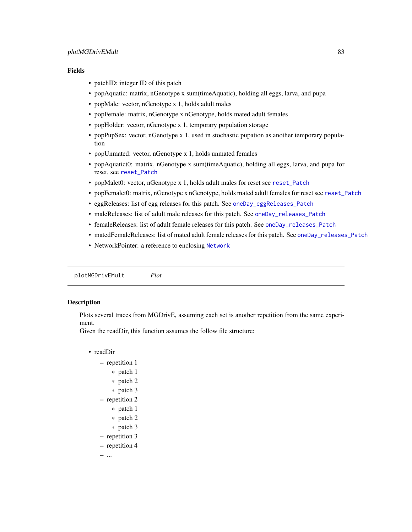# <span id="page-82-0"></span>Fields

- patchID: integer ID of this patch
- popAquatic: matrix, nGenotype x sum(timeAquatic), holding all eggs, larva, and pupa
- popMale: vector, nGenotype x 1, holds adult males
- popFemale: matrix, nGenotype x nGenotype, holds mated adult females
- popHolder: vector, nGenotype x 1, temporary population storage
- popPupSex: vector, nGenotype x 1, used in stochastic pupation as another temporary population
- popUnmated: vector, nGenotype x 1, holds unmated females
- popAquatict0: matrix, nGenotype x sum(timeAquatic), holding all eggs, larva, and pupa for reset, see [reset\\_Patch](#page-86-0)
- popMalet0: vector, nGenotype x 1, holds adult males for reset see [reset\\_Patch](#page-86-0)
- popFemalet0: matrix, nGenotype x nGenotype, holds mated adult females for reset see [reset\\_Patch](#page-86-0)
- eggReleases: list of egg releases for this patch. See [oneDay\\_eggReleases\\_Patch](#page-70-2)
- maleReleases: list of adult male releases for this patch. See [oneDay\\_releases\\_Patch](#page-78-1)
- femaleReleases: list of adult female releases for this patch. See [oneDay\\_releases\\_Patch](#page-78-1)
- matedFemaleReleases: list of mated adult female releases for this patch. See [oneDay\\_releases\\_Patch](#page-78-1)
- [Network](#page-66-0)Pointer: a reference to enclosing Network

plotMGDrivEMult *Plot*

# Description

Plots several traces from MGDrivE, assuming each set is another repetition from the same experiment.

Given the readDir, this function assumes the follow file structure:

- readDir
	- repetition 1
		- \* patch 1
		- \* patch 2
		- \* patch 3
	- repetition 2
		- \* patch 1
		- \* patch 2
		- \* patch 3
	- repetition 3
	- repetition 4

– ...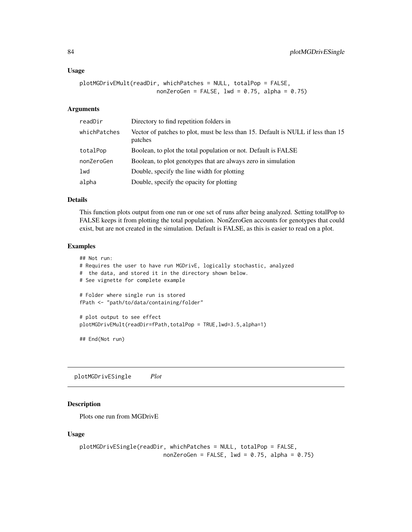#### <span id="page-83-0"></span>Usage

```
plotMGDrivEMult(readDir, whichPatches = NULL, totalPop = FALSE,
                       nonZeroGen = FALSE, 1wd = 0.75, a1pha = 0.75)
```
# Arguments

| readDir      | Directory to find repetition folders in                                                     |
|--------------|---------------------------------------------------------------------------------------------|
| whichPatches | Vector of patches to plot, must be less than 15. Default is NULL if less than 15<br>patches |
| totalPop     | Boolean, to plot the total population or not. Default is FALSE                              |
| nonZeroGen   | Boolean, to plot genotypes that are always zero in simulation                               |
| lwd          | Double, specify the line width for plotting                                                 |
| alpha        | Double, specify the opacity for plotting                                                    |

# Details

This function plots output from one run or one set of runs after being analyzed. Setting totalPop to FALSE keeps it from plotting the total population. NonZeroGen accounts for genotypes that could exist, but are not created in the simulation. Default is FALSE, as this is easier to read on a plot.

# Examples

```
## Not run:
# Requires the user to have run MGDrivE, logically stochastic, analyzed
# the data, and stored it in the directory shown below.
# See vignette for complete example
# Folder where single run is stored
fPath <- "path/to/data/containing/folder"
# plot output to see effect
plotMGDrivEMult(readDir=fPath,totalPop = TRUE,lwd=3.5,alpha=1)
## End(Not run)
```
plotMGDrivESingle *Plot*

# Description

Plots one run from MGDrivE

#### Usage

```
plotMGDrivESingle(readDir, whichPatches = NULL, totalPop = FALSE,
                         nonZeroGen = FALSE, 1wd = 0.75, alpha = 0.75)
```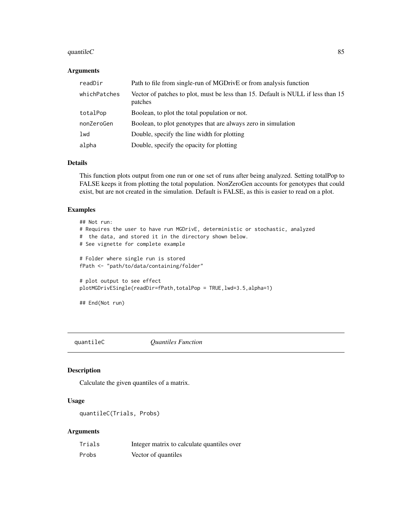#### <span id="page-84-0"></span>quantile $C$  85

# Arguments

| readDir      | Path to file from single-run of MGDrivE or from analysis function                           |
|--------------|---------------------------------------------------------------------------------------------|
| whichPatches | Vector of patches to plot, must be less than 15. Default is NULL if less than 15<br>patches |
| totalPop     | Boolean, to plot the total population or not.                                               |
| nonZeroGen   | Boolean, to plot genotypes that are always zero in simulation                               |
| lwd          | Double, specify the line width for plotting                                                 |
| alpha        | Double, specify the opacity for plotting                                                    |

# Details

This function plots output from one run or one set of runs after being analyzed. Setting totalPop to FALSE keeps it from plotting the total population. NonZeroGen accounts for genotypes that could exist, but are not created in the simulation. Default is FALSE, as this is easier to read on a plot.

# Examples

```
## Not run:
# Requires the user to have run MGDrivE, deterministic or stochastic, analyzed
# the data, and stored it in the directory shown below.
# See vignette for complete example
# Folder where single run is stored
fPath <- "path/to/data/containing/folder"
# plot output to see effect
plotMGDrivESingle(readDir=fPath,totalPop = TRUE,lwd=3.5,alpha=1)
## End(Not run)
```
quantileC *Quantiles Function*

# Description

Calculate the given quantiles of a matrix.

# Usage

```
quantileC(Trials, Probs)
```

| Trials | Integer matrix to calculate quantiles over |
|--------|--------------------------------------------|
| Probs  | Vector of quantiles                        |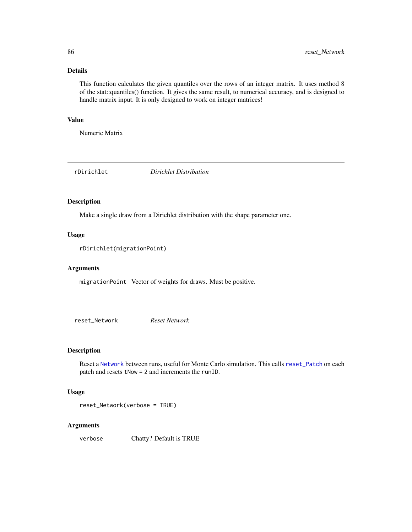# Details

This function calculates the given quantiles over the rows of an integer matrix. It uses method 8 of the stat::quantiles() function. It gives the same result, to numerical accuracy, and is designed to handle matrix input. It is only designed to work on integer matrices!

# Value

Numeric Matrix

rDirichlet *Dirichlet Distribution*

#### Description

Make a single draw from a Dirichlet distribution with the shape parameter one.

# Usage

```
rDirichlet(migrationPoint)
```
#### Arguments

migrationPoint Vector of weights for draws. Must be positive.

reset\_Network *Reset Network*

# Description

Reset a [Network](#page-66-0) between runs, useful for Monte Carlo simulation. This calls [reset\\_Patch](#page-86-0) on each patch and resets tNow = 2 and increments the runID.

#### Usage

```
reset_Network(verbose = TRUE)
```
#### **Arguments**

verbose Chatty? Default is TRUE

<span id="page-85-0"></span>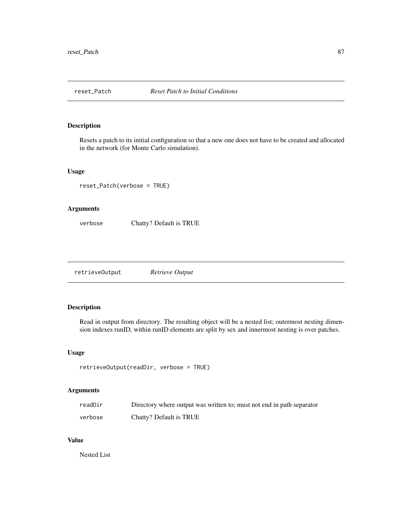<span id="page-86-1"></span><span id="page-86-0"></span>

# Description

Resets a patch to its initial configuration so that a new one does not have to be created and allocated in the network (for Monte Carlo simulation).

# Usage

```
reset_Patch(verbose = TRUE)
```
#### Arguments

verbose Chatty? Default is TRUE

retrieveOutput *Retrieve Output*

# Description

Read in output from directory. The resulting object will be a nested list; outermost nesting dimension indexes runID, within runID elements are split by sex and innermost nesting is over patches.

# Usage

```
retrieveOutput(readDir, verbose = TRUE)
```
# Arguments

| readDir | Directory where output was written to; must not end in path separator |
|---------|-----------------------------------------------------------------------|
| verbose | Chatty? Default is TRUE                                               |

# Value

Nested List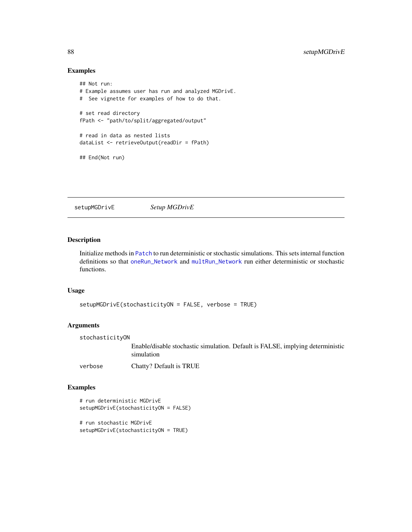# Examples

```
## Not run:
# Example assumes user has run and analyzed MGDrivE.
# See vignette for examples of how to do that.
# set read directory
fPath <- "path/to/split/aggregated/output"
# read in data as nested lists
dataList <- retrieveOutput(readDir = fPath)
## End(Not run)
```
setupMGDrivE *Setup MGDrivE*

# Description

Initialize methods in [Patch](#page-80-0) to run deterministic or stochastic simulations. This sets internal function definitions so that [oneRun\\_Network](#page-79-1) and [multRun\\_Network](#page-66-1) run either deterministic or stochastic functions.

#### Usage

```
setupMGDrivE(stochasticityON = FALSE, verbose = TRUE)
```
# Arguments

stochasticityON

Enable/disable stochastic simulation. Default is FALSE, implying deterministic simulation

verbose Chatty? Default is TRUE

# Examples

```
# run deterministic MGDrivE
setupMGDrivE(stochasticityON = FALSE)
# run stochastic MGDrivE
```

```
setupMGDrivE(stochasticityON = TRUE)
```
<span id="page-87-0"></span>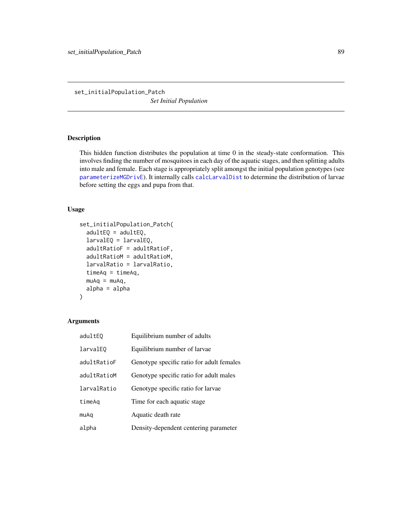<span id="page-88-1"></span><span id="page-88-0"></span>set\_initialPopulation\_Patch *Set Initial Population*

# Description

This hidden function distributes the population at time 0 in the steady-state conformation. This involves finding the number of mosquitoes in each day of the aquatic stages, and then splitting adults into male and female. Each stage is appropriately split amongst the initial population genotypes (see [parameterizeMGDrivE](#page-79-0)). It internally calls [calcLarvalDist](#page-13-1) to determine the distribution of larvae before setting the eggs and pupa from that.

# Usage

```
set_initialPopulation_Patch(
  adultEQ = adultEQ,
  larvalEQ = larvalEQ,
  adultRatioF = adultRatioF,
  adultRatioM = adultRatioM,
  larvalRatio = larvalRatio,
  timeAq = timeAq,
 muAq = muAq,
 alpha = alpha
\mathcal{L}
```

| adultEQ     | Equilibrium number of adults              |
|-------------|-------------------------------------------|
| larvalE0    | Equilibrium number of larvae              |
| adultRatioF | Genotype specific ratio for adult females |
| adultRatioM | Genotype specific ratio for adult males   |
| larvalRatio | Genotype specific ratio for larvae        |
| timeAq      | Time for each aquatic stage.              |
| muAq        | Aquatic death rate                        |
| alpha       | Density-dependent centering parameter     |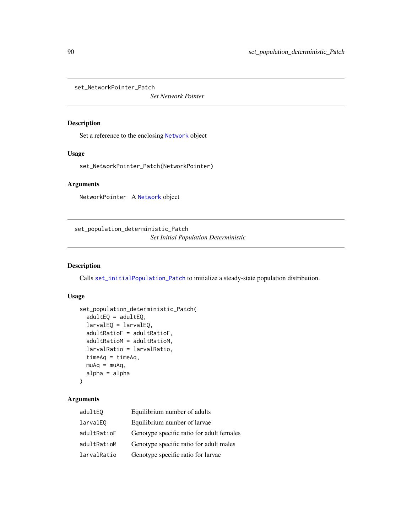<span id="page-89-2"></span><span id="page-89-0"></span>set\_NetworkPointer\_Patch

*Set Network Pointer*

# Description

Set a reference to the enclosing [Network](#page-66-0) object

# Usage

set\_NetworkPointer\_Patch(NetworkPointer)

# Arguments

NetworkPointer A [Network](#page-66-0) object

<span id="page-89-1"></span>set\_population\_deterministic\_Patch

*Set Initial Population Deterministic*

# Description

Calls [set\\_initialPopulation\\_Patch](#page-88-0) to initialize a steady-state population distribution.

# Usage

```
set_population_deterministic_Patch(
  adultEQ = adultEQ,larvalEQ = larvalEQ,
  adultRatioF = adultRatioF,
  adultRatioM = adultRatioM,
 larvalRatio = larvalRatio,
  timeAq = timeAq,
 muAq = muAq,
 alpha = alpha
\lambda
```

| adultEQ     | Equilibrium number of adults              |
|-------------|-------------------------------------------|
| larvalE0    | Equilibrium number of larvae              |
| adultRatioF | Genotype specific ratio for adult females |
| adultRatioM | Genotype specific ratio for adult males   |
| larvalRatio | Genotype specific ratio for larvae        |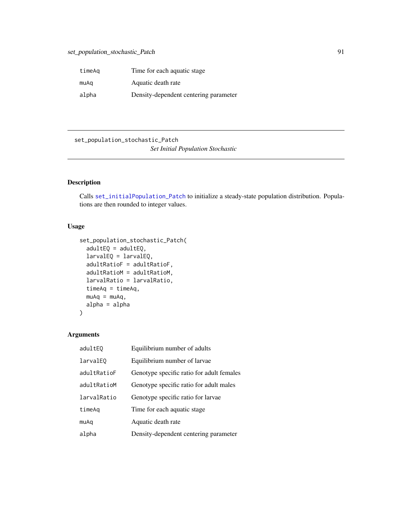<span id="page-90-1"></span>

| timeAq | Time for each aquatic stage.          |
|--------|---------------------------------------|
| muAq   | Aquatic death rate                    |
| alpha  | Density-dependent centering parameter |

<span id="page-90-0"></span>set\_population\_stochastic\_Patch

# *Set Initial Population Stochastic*

# Description

Calls [set\\_initialPopulation\\_Patch](#page-88-0) to initialize a steady-state population distribution. Populations are then rounded to integer values.

# Usage

```
set_population_stochastic_Patch(
  adultEQ = adultEQ,larvalEQ = larvalEQ,
  adultRatioF = adultRatioF,
  adultRatioM = adultRatioM,
  larvalRatio = larvalRatio,
  timeAq = timeAq,
 muAq = muAq,
 alpha = alpha
)
```

| adultEQ     | Equilibrium number of adults              |
|-------------|-------------------------------------------|
| larvalE0    | Equilibrium number of larvae              |
| adultRatioF | Genotype specific ratio for adult females |
| adultRatioM | Genotype specific ratio for adult males   |
| larvalRatio | Genotype specific ratio for larvae        |
| timeAq      | Time for each aquatic stage.              |
| muAq        | Aquatic death rate                        |
| alpha       | Density-dependent centering parameter     |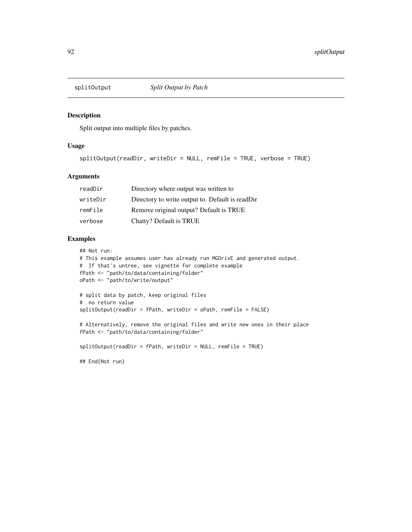<span id="page-91-0"></span>

# Description

Split output into multiple files by patches.

#### Usage

splitOutput(readDir, writeDir = NULL, remFile = TRUE, verbose = TRUE)

# Arguments

| readDir  | Directory where output was written to            |
|----------|--------------------------------------------------|
| writeDir | Directory to write output to. Default is readDir |
| remFile  | Remove original output? Default is TRUE          |
| verbose  | Chatty? Default is TRUE                          |

# Examples

## Not run:

```
# This example assumes user has already run MGDrivE and generated output.
# If that's untree, see vignette for complete example
fPath <- "path/to/data/containing/folder"
oPath <- "path/to/write/output"
# split data by patch, keep original files
# no return value
splitOutput(readDir = fPath, writeDir = oPath, remFile = FALSE)
# Alternatively, remove the original files and write new ones in their place
fPath <- "path/to/data/containing/folder"
splitOutput(readDir = fPath, writeDir = NULL, remFile = TRUE)
## End(Not run)
```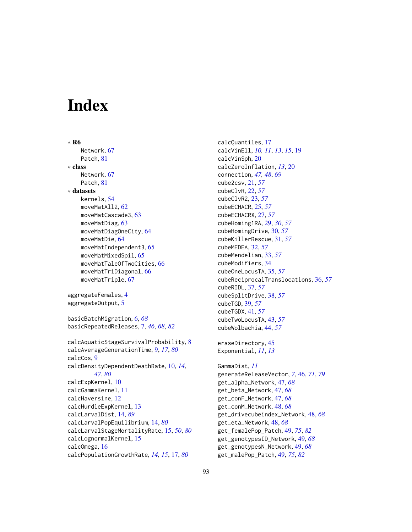# **Index**

```
∗ R6
    Network, 67
    Patch, 81
∗ class
    Network, 67
    Patch, 81
∗ datasets
    kernels, 54
    moveMatAll2, 62
    moveMatCascade3, 63
    moveMatDiag, 63
    moveMatDiagOneCity, 64
    moveMatDie, 64
    moveMatIndependent3, 65
    moveMatMixedSpil, 65
    moveMatTaleOfTwoCities, 66
    moveMatTriDiagonal, 66
    moveMatTriple, 67
aggregateFemales, 4
aggregateOutput, 5
basicBatchMigration, 6, 68
basicRepeatedReleases, 7, 46, 68, 82
calcAquaticStageSurvivalProbability, 8
calcAverageGenerationTime, 9, 17, 80
calcCos, 9
calcDensityDependentDeathRate, 10, 14,
        47, 80
calcExpKernel, 10
calcGammaKernel, 11
calcHaversine, 12
calcHurdleExpKernel, 13
calcLarvalDist, 14, 89
calcLarvalPopEquilibrium, 14, 80
calcLarvalStageMortalityRate, 15, 50, 80
calcLognormalKernel, 15
calcOmega, 16
calcPopulationGrowthRate, 14, 15, 17, 80
```
calcQuantiles, [17](#page-16-1) calcVinEll, *[10,](#page-9-1) [11](#page-10-0)*, *[13](#page-12-0)*, *[15](#page-14-1)*, [19](#page-18-0) calcVinSph, [20](#page-19-0) calcZeroInflation, *[13](#page-12-0)*, [20](#page-19-0) connection, *[47,](#page-46-0) [48](#page-47-0)*, *[69](#page-68-0)* cube2csv, [21,](#page-20-0) *[57](#page-56-0)* cubeClvR, [22,](#page-21-0) *[57](#page-56-0)* cubeClvR2, [23,](#page-22-0) *[57](#page-56-0)* cubeECHACR, [25,](#page-24-0) *[57](#page-56-0)* cubeECHACRX, [27,](#page-26-0) *[57](#page-56-0)* cubeHoming1RA, [29,](#page-28-0) *[30](#page-29-0)*, *[57](#page-56-0)* cubeHomingDrive, [30,](#page-29-0) *[57](#page-56-0)* cubeKillerRescue, [31,](#page-30-0) *[57](#page-56-0)* cubeMEDEA, [32,](#page-31-0) *[57](#page-56-0)* cubeMendelian, [33,](#page-32-0) *[57](#page-56-0)* cubeModifiers, [34](#page-33-0) cubeOneLocusTA, [35,](#page-34-0) *[57](#page-56-0)* cubeReciprocalTranslocations, [36,](#page-35-0) *[57](#page-56-0)* cubeRIDL, [37,](#page-36-0) *[57](#page-56-0)* cubeSplitDrive, [38,](#page-37-0) *[57](#page-56-0)* cubeTGD, [39,](#page-38-0) *[57](#page-56-0)* cubeTGDX, [41,](#page-40-0) *[57](#page-56-0)* cubeTwoLocusTA, [43,](#page-42-0) *[57](#page-56-0)* cubeWolbachia, [44,](#page-43-0) *[57](#page-56-0)* eraseDirectory, [45](#page-44-0) Exponential, *[11](#page-10-0)*, *[13](#page-12-0)* GammaDist, *[11](#page-10-0)* generateReleaseVector, *[7](#page-6-1)*, [46,](#page-45-1) *[71](#page-70-3)*, *[79](#page-78-3)* get\_alpha\_Network, [47,](#page-46-0) *[68](#page-67-0)* get\_beta\_Network, [47,](#page-46-0) *[68](#page-67-0)* get\_conF\_Network, [47,](#page-46-0) *[68](#page-67-0)* get\_conM\_Network, [48,](#page-47-0) *[68](#page-67-0)* get\_drivecubeindex\_Network, [48,](#page-47-0) *[68](#page-67-0)* get\_eta\_Network, [48,](#page-47-0) *[68](#page-67-0)* get\_femalePop\_Patch, [49,](#page-48-2) *[75](#page-74-0)*, *[82](#page-81-0)* get\_genotypesID\_Network, [49,](#page-48-2) *[68](#page-67-0)* get\_genotypesN\_Network, [49,](#page-48-2) *[68](#page-67-0)* get\_malePop\_Patch, [49,](#page-48-2) *[75](#page-74-0)*, *[82](#page-81-0)*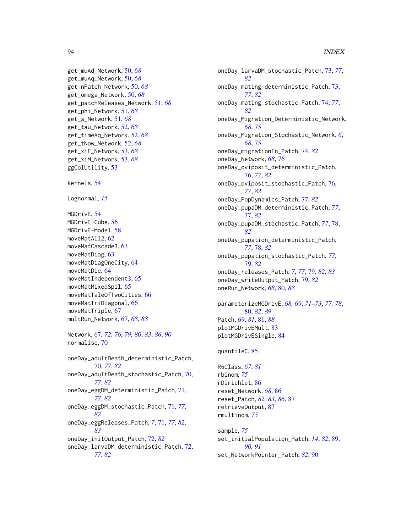#### 94 INDEX

```
get_muAd_Network, 50, 68
get_muAq_Network, 50, 68
get_nPatch_Network, 50, 68
get_omega_Network, 50, 68
get_patchReleases_Network, 51, 68
get_phi_Network, 51, 68
get_s_Network, 51, 68
get_tau_Network, 52, 68
get_timeAq_Network, 52, 68
get_tNow_Network, 52, 68
get_xiF_Network, 53, 68
get_xiM_Network, 53, 68
ggColUtility, 53
kernels, 54
Lognormal, 15
MGDrivE, 54
MGDrivE-Cube, 56
MGDrivE-Model, 58
moveMatAll2, 62
moveMatCascade3, 63
moveMatDiag, 63
moveMatDiagOneCity, 64
moveMatDie, 64
moveMatIndependent3, 65
moveMatMixedSpil, 65
moveMatTaleOfTwoCities, 66
moveMatTriDiagonal, 66
moveMatTriple, 67
multRun_Network, 67, 68, 88
Network, 67, 72, 76, 79, 80, 83, 86, 90
normalise, 70
oneDay_adultDeath_deterministic_Patch,
        70, 77, 82
oneDay_adultDeath_stochastic_Patch, 70,
        77, 82
```
oneDay\_eggDM\_deterministic\_Patch, [71,](#page-70-3) *[77](#page-76-2)*, *[82](#page-81-0)* oneDay\_eggDM\_stochastic\_Patch, [71,](#page-70-3) *[77](#page-76-2)*, *[82](#page-81-0)* oneDay\_eggReleases\_Patch, *[7](#page-6-1)*, [71,](#page-70-3) *[77](#page-76-2)*, *[82,](#page-81-0) [83](#page-82-0)* oneDay\_initOutput\_Patch, [72,](#page-71-2) *[82](#page-81-0)*

```
oneDay_larvaDM_deterministic_Patch, 72,
        77, 82
```
oneDay\_larvaDM\_stochastic\_Patch, [73,](#page-72-2) *[77](#page-76-2)*, *[82](#page-81-0)* oneDay\_mating\_deterministic\_Patch, [73,](#page-72-2) *[77](#page-76-2)*, *[82](#page-81-0)* oneDay\_mating\_stochastic\_Patch, [74,](#page-73-2) *[77](#page-76-2)*, *[82](#page-81-0)* oneDay\_Migration\_Deterministic\_Network, *[68](#page-67-0)*, [75](#page-74-0) oneDay\_Migration\_Stochastic\_Network, *[6](#page-5-0)*, *[68](#page-67-0)*, [75](#page-74-0) oneDay\_migrationIn\_Patch, [74,](#page-73-2) *[82](#page-81-0)* oneDay\_Network, *[68](#page-67-0)*, [76](#page-75-2) oneDay\_oviposit\_deterministic\_Patch, [76,](#page-75-2) *[77](#page-76-2)*, *[82](#page-81-0)* oneDay\_oviposit\_stochastic\_Patch, [76,](#page-75-2) *[77](#page-76-2)*, *[82](#page-81-0)* oneDay\_PopDynamics\_Patch, [77,](#page-76-2) *[82](#page-81-0)* oneDay\_pupaDM\_deterministic\_Patch, *[77](#page-76-2)*, [77,](#page-76-2) *[82](#page-81-0)* oneDay\_pupaDM\_stochastic\_Patch, *[77](#page-76-2)*, [78,](#page-77-2) *[82](#page-81-0)* oneDay\_pupation\_deterministic\_Patch, *[77](#page-76-2)*, [78,](#page-77-2) *[82](#page-81-0)* oneDay\_pupation\_stochastic\_Patch, *[77](#page-76-2)*, [79,](#page-78-3) *[82](#page-81-0)* oneDay\_releases\_Patch, *[7](#page-6-1)*, *[77](#page-76-2)*, [79,](#page-78-3) *[82,](#page-81-0) [83](#page-82-0)* oneDay\_writeOutput\_Patch, [79,](#page-78-3) *[82](#page-81-0)* oneRun\_Network, *[68](#page-67-0)*, [80,](#page-79-2) *[88](#page-87-0)* parameterizeMGDrivE, *[68,](#page-67-0) [69](#page-68-0)*, *[71](#page-70-3)[–73](#page-72-2)*, *[77,](#page-76-2) [78](#page-77-2)*, [80,](#page-79-2) *[82](#page-81-0)*, *[89](#page-88-1)* Patch, *[69](#page-68-0)*, *[81](#page-80-1)*, [81,](#page-80-1) *[88](#page-87-0)* plotMGDrivEMult, [83](#page-82-0) plotMGDrivESingle, [84](#page-83-0) quantileC, [85](#page-84-0) R6Class, *[67](#page-66-2)*, *[81](#page-80-1)*

rbinom, *[75](#page-74-0)* rDirichlet, [86](#page-85-0) reset\_Network, *[68](#page-67-0)*, [86](#page-85-0) reset\_Patch, *[82,](#page-81-0) [83](#page-82-0)*, *[86](#page-85-0)*, [87](#page-86-1) retrieveOutput, [87](#page-86-1) rmultinom, *[75](#page-74-0)*

sample, *[75](#page-74-0)* set\_initialPopulation\_Patch, *[14](#page-13-2)*, *[82](#page-81-0)*, [89,](#page-88-1) *[90,](#page-89-2) [91](#page-90-1)* set\_NetworkPointer\_Patch, *[82](#page-81-0)*, [90](#page-89-2)